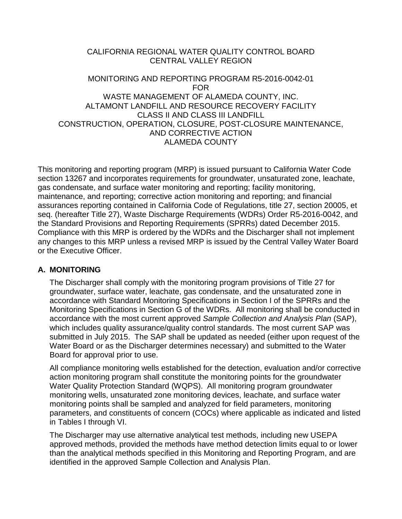## CALIFORNIA REGIONAL WATER QUALITY CONTROL BOARD CENTRAL VALLEY REGION

## MONITORING AND REPORTING PROGRAM R5-2016-0042-01 FOR WASTE MANAGEMENT OF ALAMEDA COUNTY, INC. ALTAMONT LANDFILL AND RESOURCE RECOVERY FACILITY CLASS II AND CLASS III LANDFILL CONSTRUCTION, OPERATION, CLOSURE, POST-CLOSURE MAINTENANCE, AND CORRECTIVE ACTION ALAMEDA COUNTY

This monitoring and reporting program (MRP) is issued pursuant to California Water Code section 13267 and incorporates requirements for groundwater, unsaturated zone, leachate, gas condensate, and surface water monitoring and reporting; facility monitoring, maintenance, and reporting; corrective action monitoring and reporting; and financial assurances reporting contained in California Code of Regulations, title 27, section 20005, et seq. (hereafter Title 27), Waste Discharge Requirements (WDRs) Order R5-2016-0042, and the Standard Provisions and Reporting Requirements (SPRRs) dated December 2015. Compliance with this MRP is ordered by the WDRs and the Discharger shall not implement any changes to this MRP unless a revised MRP is issued by the Central Valley Water Board or the Executive Officer.

## **A. MONITORING**

The Discharger shall comply with the monitoring program provisions of Title 27 for groundwater, surface water, leachate, gas condensate, and the unsaturated zone in accordance with Standard Monitoring Specifications in Section I of the SPRRs and the Monitoring Specifications in Section G of the WDRs. All monitoring shall be conducted in accordance with the most current approved *Sample Collection and Analysis Plan* (SAP), which includes quality assurance/quality control standards. The most current SAP was submitted in July 2015. The SAP shall be updated as needed (either upon request of the Water Board or as the Discharger determines necessary) and submitted to the Water Board for approval prior to use.

All compliance monitoring wells established for the detection, evaluation and/or corrective action monitoring program shall constitute the monitoring points for the groundwater Water Quality Protection Standard (WQPS). All monitoring program groundwater monitoring wells, unsaturated zone monitoring devices, leachate, and surface water monitoring points shall be sampled and analyzed for field parameters, monitoring parameters, and constituents of concern (COCs) where applicable as indicated and listed in Tables I through VI.

The Discharger may use alternative analytical test methods, including new USEPA approved methods, provided the methods have method detection limits equal to or lower than the analytical methods specified in this Monitoring and Reporting Program, and are identified in the approved Sample Collection and Analysis Plan.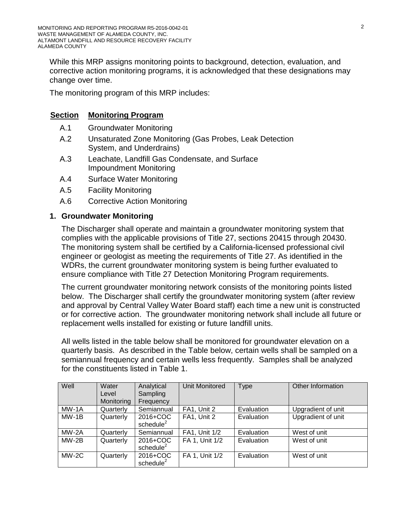While this MRP assigns monitoring points to background, detection, evaluation, and corrective action monitoring programs, it is acknowledged that these designations may change over time.

The monitoring program of this MRP includes:

## **Section Monitoring Program**

- A.1 Groundwater Monitoring
- A.2 Unsaturated Zone Monitoring (Gas Probes, Leak Detection System, and Underdrains)
- A.3 Leachate, Landfill Gas Condensate, and Surface Impoundment Monitoring
- A.4 Surface Water Monitoring
- A.5 Facility Monitoring
- A.6 Corrective Action Monitoring

## **1. Groundwater Monitoring**

The Discharger shall operate and maintain a groundwater monitoring system that complies with the applicable provisions of Title 27, sections 20415 through 20430. The monitoring system shall be certified by a California-licensed professional civil engineer or geologist as meeting the requirements of Title 27. As identified in the WDRs, the current groundwater monitoring system is being further evaluated to ensure compliance with Title 27 Detection Monitoring Program requirements.

The current groundwater monitoring network consists of the monitoring points listed below. The Discharger shall certify the groundwater monitoring system (after review and approval by Central Valley Water Board staff) each time a new unit is constructed or for corrective action. The groundwater monitoring network shall include all future or replacement wells installed for existing or future landfill units.

All wells listed in the table below shall be monitored for groundwater elevation on a quarterly basis. As described in the Table below, certain wells shall be sampled on a semiannual frequency and certain wells less frequently. Samples shall be analyzed for the constituents listed in Table 1.

| Well    | Water<br>Level<br>Monitoring | Analytical<br>Sampling<br>Frequency | <b>Unit Monitored</b> | <b>Type</b> | Other Information  |
|---------|------------------------------|-------------------------------------|-----------------------|-------------|--------------------|
| $MW-1A$ | Quarterly                    | Semiannual                          | FA1, Unit 2           | Evaluation  | Upgradient of unit |
| $MW-1B$ | Quarterly                    | 2016+COC<br>schedule $2$            | FA1, Unit 2           | Evaluation  | Upgradient of unit |
| MW-2A   | Quarterly                    | Semiannual                          | FA1, Unit 1/2         | Evaluation  | West of unit       |
| $MW-2B$ | Quarterly                    | 2016+COC<br>schedule <sup>2</sup>   | FA 1, Unit 1/2        | Evaluation  | West of unit       |
| $MW-2C$ | Quarterly                    | 2016+COC<br>schedule <sup>2</sup>   | FA 1, Unit 1/2        | Evaluation  | West of unit       |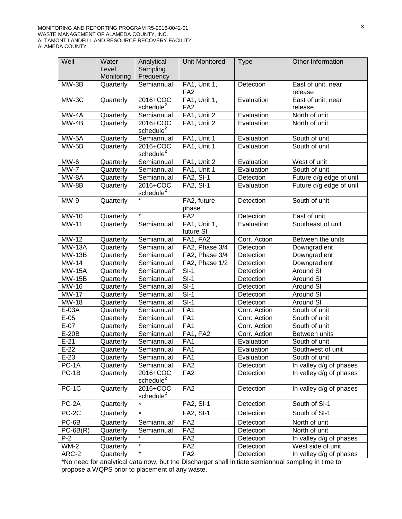| Well                | Water<br>Level<br>Monitoring | Analytical<br>Sampling<br>Frequency | <b>Unit Monitored</b>           | <b>Type</b>  | Other Information             |
|---------------------|------------------------------|-------------------------------------|---------------------------------|--------------|-------------------------------|
| $MW-3B$             | Quarterly                    | Semiannual                          | FA1, Unit 1,<br>FA <sub>2</sub> | Detection    | East of unit, near<br>release |
| MW-3C               | Quarterly                    | 2016+COC<br>schedule $2$            | FA1, Unit 1,<br>FA <sub>2</sub> | Evaluation   | East of unit, near<br>release |
| MW-4A               | Quarterly                    | Semiannual                          | FA1, Unit 2                     | Evaluation   | North of unit                 |
| MW-4B               | Quarterly                    | 2016+COC<br>$s$ chedule $2$         | FA1, Unit 2                     | Evaluation   | North of unit                 |
| MW-5A               | Quarterly                    | Semiannual                          | FA1, Unit 1                     | Evaluation   | South of unit                 |
| $MW-5B$             | Quarterly                    | 2016+COC<br>schedule <sup>2</sup>   | FA1, Unit 1                     | Evaluation   | South of unit                 |
| MW-6                | Quarterly                    | Semiannual                          | FA1, Unit 2                     | Evaluation   | West of unit                  |
| $MW-7$              | Quarterly                    | Semiannual                          | FA1, Unit 1                     | Evaluation   | South of unit                 |
| MW-8A               | Quarterly                    | Semiannual                          | <b>FA2, SI-1</b>                | Detection    | Future d/g edge of unit       |
| MW-8B               | Quarterly                    | 2016+COC<br>schedule <sup>2</sup>   | FA2, SI-1                       | Evaluation   | Future d/g edge of unit       |
| $MW-9$              | Quarterly                    |                                     | FA2, future<br>phase            | Detection    | South of unit                 |
| MW-10               | Quarterly                    | $\star$                             | FA <sub>2</sub>                 | Detection    | East of unit                  |
| <b>MW-11</b>        | Quarterly                    | Semiannual                          | FA1, Unit 1,<br>future SI       | Evaluation   | Southeast of unit             |
| MW-12               | Quarterly                    | Semiannual                          | FA1, FA2                        | Corr. Action | Between the units             |
| <b>MW-13A</b>       | Quarterly                    | Semiannual <sup>1</sup>             | FA2, Phase 3/4                  | Detection    | Downgradient                  |
| $MW-13B$            | Quarterly                    | Semiannual                          | FA2, Phase 3/4                  | Detection    | Downgradient                  |
| MW-14               | Quarterly                    | Semiannual                          | FA2, Phase 1/2                  | Detection    | Downgradient                  |
| <b>MW-15A</b>       | Quarterly                    | Semiannual <sup>1</sup>             | $SI-1$                          | Detection    | <b>Around SI</b>              |
| <b>MW-15B</b>       | Quarterly                    | Semiannual                          | $S-I$                           | Detection    | Around SI                     |
| MW-16               | Quarterly                    | Semiannual                          | $S-I$                           | Detection    | Around SI                     |
| <b>MW-17</b>        | Quarterly                    | Semiannual                          | $S-I$                           | Detection    | Around SI                     |
| MW-18               | Quarterly                    | Semiannual                          | $S-I$                           | Detection    | Around SI                     |
| E-03A               | Quarterly                    | Semiannual                          | FA1                             | Corr. Action | South of unit                 |
| $E-05$              | Quarterly                    | Semiannual                          | FA1                             | Corr. Action | South of unit                 |
| $E-07$              | Quarterly                    | Semiannual                          | FA1                             | Corr. Action | South of unit                 |
| $E-20B$             | Quarterly                    | Semiannual                          | FA1, FA2                        | Corr. Action | Between units                 |
| $E-21$              | Quarterly                    | Semiannual                          | FA1                             | Evaluation   | South of unit                 |
| $E-22$              | Quarterly                    | Semiannual                          | FA1                             | Evaluation   | Southwest of unit             |
| $E-23$              | Quarterly                    | Semiannual                          | FA <sub>1</sub>                 | Evaluation   | South of unit                 |
| $\overline{PC}$ -1A | Quarterly                    | Semiannual                          | FA <sub>2</sub>                 | Detection    | In valley d/g of phases       |
| $PC-1B$             | Quarterly                    | 2016+COC<br>$s$ chedule $2$         | FA <sub>2</sub>                 | Detection    | In valley d/g of phases       |
| $PC-1C$             | Quarterly                    | 2016+COC<br>schedule <sup>2</sup>   | FA <sub>2</sub>                 | Detection    | In valley d/g of phases       |
| PC-2A               | Quarterly                    | $\star$                             | <b>FA2, SI-1</b>                | Detection    | South of SI-1                 |
| PC-2C               | Quarterly                    | $\star$                             | <b>FA2, SI-1</b>                | Detection    | South of SI-1                 |
| PC-6B               | Quarterly                    | Semiannual                          | FA <sub>2</sub>                 | Detection    | North of unit                 |
| $PC-6B(R)$          | Quarterly                    | Semiannual<br>$\star$               | FA <sub>2</sub>                 | Detection    | North of unit                 |
| $P-2$               | Quarterly                    | *                                   | FA <sub>2</sub>                 | Detection    | In valley d/g of phases       |
| $WM-2$              | Quarterly                    | *                                   | FA <sub>2</sub>                 | Detection    | West side of unit             |
| ARC-2               | Quarterly                    |                                     | FA <sub>2</sub>                 | Detection    | In valley d/g of phases       |

\*No need for analytical data now, but the Discharger shall initiate semiannual sampling in time to propose a WQPS prior to placement of any waste.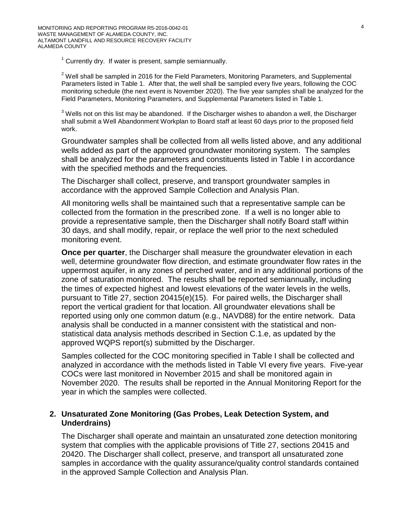$1$  Currently dry. If water is present, sample semiannually.

 $2$  Well shall be sampled in 2016 for the Field Parameters, Monitoring Parameters, and Supplemental Parameters listed in Table 1. After that, the well shall be sampled every five years, following the COC monitoring schedule (the next event is November 2020). The five year samples shall be analyzed for the Field Parameters, Monitoring Parameters, and Supplemental Parameters listed in Table 1.

 $3$  Wells not on this list may be abandoned. If the Discharger wishes to abandon a well, the Discharger shall submit a Well Abandonment Workplan to Board staff at least 60 days prior to the proposed field work.

Groundwater samples shall be collected from all wells listed above, and any additional wells added as part of the approved groundwater monitoring system. The samples shall be analyzed for the parameters and constituents listed in Table I in accordance with the specified methods and the frequencies.

The Discharger shall collect, preserve, and transport groundwater samples in accordance with the approved Sample Collection and Analysis Plan.

All monitoring wells shall be maintained such that a representative sample can be collected from the formation in the prescribed zone. If a well is no longer able to provide a representative sample, then the Discharger shall notify Board staff within 30 days, and shall modify, repair, or replace the well prior to the next scheduled monitoring event.

**Once per quarter**, the Discharger shall measure the groundwater elevation in each well, determine groundwater flow direction, and estimate groundwater flow rates in the uppermost aquifer, in any zones of perched water, and in any additional portions of the zone of saturation monitored. The results shall be reported semiannually, including the times of expected highest and lowest elevations of the water levels in the wells, pursuant to Title 27, section 20415(e)(15). For paired wells, the Discharger shall report the vertical gradient for that location. All groundwater elevations shall be reported using only one common datum (e.g., NAVD88) for the entire network. Data analysis shall be conducted in a manner consistent with the statistical and nonstatistical data analysis methods described in Section C.1.e, as updated by the approved WQPS report(s) submitted by the Discharger.

Samples collected for the COC monitoring specified in Table I shall be collected and analyzed in accordance with the methods listed in Table VI every five years. Five-year COCs were last monitored in November 2015 and shall be monitored again in November 2020. The results shall be reported in the Annual Monitoring Report for the year in which the samples were collected.

## **2. Unsaturated Zone Monitoring (Gas Probes, Leak Detection System, and Underdrains)**

The Discharger shall operate and maintain an unsaturated zone detection monitoring system that complies with the applicable provisions of Title 27, sections 20415 and 20420. The Discharger shall collect, preserve, and transport all unsaturated zone samples in accordance with the quality assurance/quality control standards contained in the approved Sample Collection and Analysis Plan.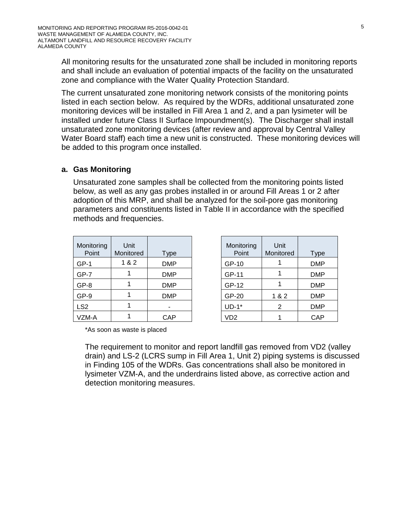All monitoring results for the unsaturated zone shall be included in monitoring reports and shall include an evaluation of potential impacts of the facility on the unsaturated zone and compliance with the Water Quality Protection Standard.

The current unsaturated zone monitoring network consists of the monitoring points listed in each section below. As required by the WDRs, additional unsaturated zone monitoring devices will be installed in Fill Area 1 and 2, and a pan lysimeter will be installed under future Class II Surface Impoundment(s). The Discharger shall install unsaturated zone monitoring devices (after review and approval by Central Valley Water Board staff) each time a new unit is constructed. These monitoring devices will be added to this program once installed.

## **a. Gas Monitoring**

Unsaturated zone samples shall be collected from the monitoring points listed below, as well as any gas probes installed in or around Fill Areas 1 or 2 after adoption of this MRP, and shall be analyzed for the soil-pore gas monitoring parameters and constituents listed in Table II in accordance with the specified methods and frequencies.

| Monitoring<br>Point | Unit<br>Monitored | <b>Type</b> |
|---------------------|-------------------|-------------|
| $GP-1$              | 1 & 2             | <b>DMP</b>  |
| $GP-7$              |                   | <b>DMP</b>  |
| GP-8                |                   | <b>DMP</b>  |
| GP-9                |                   | <b>DMP</b>  |
| LS <sub>2</sub>     |                   |             |
| VZM-A               |                   | <b>CAP</b>  |

| Monitoring<br>Point | Unit<br>Monitored | <b>Type</b> |
|---------------------|-------------------|-------------|
| GP-10               |                   | DMP         |
| GP-11               |                   | DMP         |
| GP-12               |                   | DMP         |
| GP-20               | 1 & 2             | DMP         |
| $UD-1*$             | 2                 | DMP         |
| VD <sub>2</sub>     |                   | CAP         |

\*As soon as waste is placed

The requirement to monitor and report landfill gas removed from VD2 (valley drain) and LS-2 (LCRS sump in Fill Area 1, Unit 2) piping systems is discussed in Finding 105 of the WDRs. Gas concentrations shall also be monitored in lysimeter VZM-A, and the underdrains listed above, as corrective action and detection monitoring measures.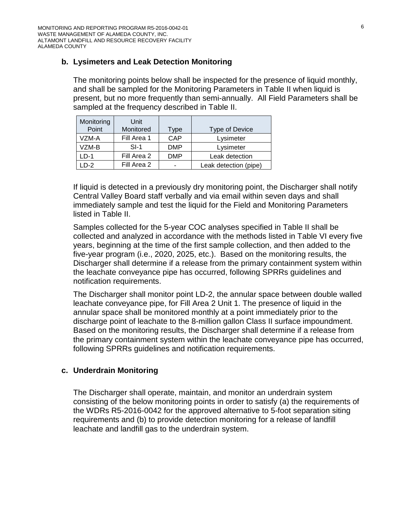# **b. Lysimeters and Leak Detection Monitoring**

The monitoring points below shall be inspected for the presence of liquid monthly, and shall be sampled for the Monitoring Parameters in Table II when liquid is present, but no more frequently than semi-annually. All Field Parameters shall be sampled at the frequency described in Table II.

| Monitoring<br>Point | Unit<br>Monitored | Гуре       | Type of Device        |
|---------------------|-------------------|------------|-----------------------|
| VZM-A               | Fill Area 1       | CAP        | Lysimeter             |
| VZM-B               | $SI-1$            | <b>DMP</b> | Lysimeter             |
| LD-1                | Fill Area 2       | <b>DMP</b> | Leak detection        |
| $D-2$               | Fill Area 2       | -          | Leak detection (pipe) |

If liquid is detected in a previously dry monitoring point, the Discharger shall notify Central Valley Board staff verbally and via email within seven days and shall immediately sample and test the liquid for the Field and Monitoring Parameters listed in Table II.

Samples collected for the 5-year COC analyses specified in Table II shall be collected and analyzed in accordance with the methods listed in Table VI every five years, beginning at the time of the first sample collection, and then added to the five-year program (i.e., 2020, 2025, etc.). Based on the monitoring results, the Discharger shall determine if a release from the primary containment system within the leachate conveyance pipe has occurred, following SPRRs guidelines and notification requirements.

The Discharger shall monitor point LD-2, the annular space between double walled leachate conveyance pipe, for Fill Area 2 Unit 1. The presence of liquid in the annular space shall be monitored monthly at a point immediately prior to the discharge point of leachate to the 8-million gallon Class II surface impoundment. Based on the monitoring results, the Discharger shall determine if a release from the primary containment system within the leachate conveyance pipe has occurred, following SPRRs guidelines and notification requirements.

## **c. Underdrain Monitoring**

The Discharger shall operate, maintain, and monitor an underdrain system consisting of the below monitoring points in order to satisfy (a) the requirements of the WDRs R5-2016-0042 for the approved alternative to 5-foot separation siting requirements and (b) to provide detection monitoring for a release of landfill leachate and landfill gas to the underdrain system.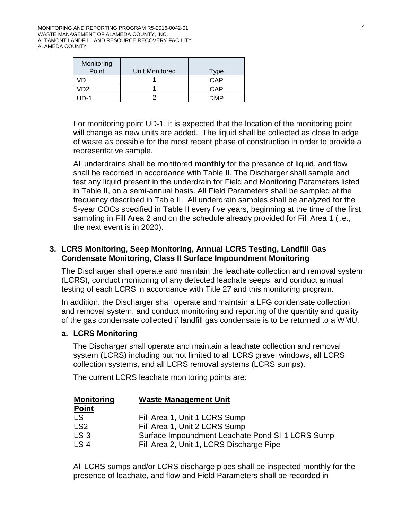| Monitoring<br>Point | Unit Monitored | Tvpe |
|---------------------|----------------|------|
| /N                  |                | CAP  |
| /D2                 |                | CAP  |
| $ID-1$              |                | DMP  |

For monitoring point UD-1, it is expected that the location of the monitoring point will change as new units are added. The liquid shall be collected as close to edge of waste as possible for the most recent phase of construction in order to provide a representative sample.

All underdrains shall be monitored **monthly** for the presence of liquid, and flow shall be recorded in accordance with Table II. The Discharger shall sample and test any liquid present in the underdrain for Field and Monitoring Parameters listed in Table II, on a semi-annual basis. All Field Parameters shall be sampled at the frequency described in Table II. All underdrain samples shall be analyzed for the 5-year COCs specified in Table II every five years, beginning at the time of the first sampling in Fill Area 2 and on the schedule already provided for Fill Area 1 (i.e., the next event is in 2020).

## **3. LCRS Monitoring, Seep Monitoring, Annual LCRS Testing, Landfill Gas Condensate Monitoring, Class II Surface Impoundment Monitoring**

The Discharger shall operate and maintain the leachate collection and removal system (LCRS), conduct monitoring of any detected leachate seeps, and conduct annual testing of each LCRS in accordance with Title 27 and this monitoring program.

In addition, the Discharger shall operate and maintain a LFG condensate collection and removal system, and conduct monitoring and reporting of the quantity and quality of the gas condensate collected if landfill gas condensate is to be returned to a WMU.

## **a. LCRS Monitoring**

The Discharger shall operate and maintain a leachate collection and removal system (LCRS) including but not limited to all LCRS gravel windows, all LCRS collection systems, and all LCRS removal systems (LCRS sumps).

The current LCRS leachate monitoring points are:

| <b>Monitoring</b><br><u>Point</u> | <b>Waste Management Unit</b>                     |
|-----------------------------------|--------------------------------------------------|
|                                   |                                                  |
| LS                                | Fill Area 1, Unit 1 LCRS Sump                    |
| LS <sub>2</sub>                   | Fill Area 1, Unit 2 LCRS Sump                    |
| <b>LS-3</b>                       | Surface Impoundment Leachate Pond SI-1 LCRS Sump |
| $LS-4$                            | Fill Area 2, Unit 1, LCRS Discharge Pipe         |

All LCRS sumps and/or LCRS discharge pipes shall be inspected monthly for the presence of leachate, and flow and Field Parameters shall be recorded in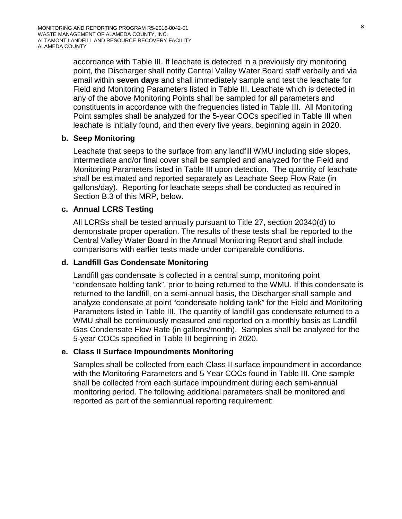accordance with Table III. If leachate is detected in a previously dry monitoring point, the Discharger shall notify Central Valley Water Board staff verbally and via email within **seven days** and shall immediately sample and test the leachate for Field and Monitoring Parameters listed in Table III. Leachate which is detected in any of the above Monitoring Points shall be sampled for all parameters and constituents in accordance with the frequencies listed in Table III. All Monitoring Point samples shall be analyzed for the 5-year COCs specified in Table III when leachate is initially found, and then every five years, beginning again in 2020.

## **b. Seep Monitoring**

Leachate that seeps to the surface from any landfill WMU including side slopes, intermediate and/or final cover shall be sampled and analyzed for the Field and Monitoring Parameters listed in Table III upon detection. The quantity of leachate shall be estimated and reported separately as Leachate Seep Flow Rate (in gallons/day). Reporting for leachate seeps shall be conducted as required in Section B[.3](#page-19-0) of this MRP, below.

## **c. Annual LCRS Testing**

All LCRSs shall be tested annually pursuant to Title 27, section 20340(d) to demonstrate proper operation. The results of these tests shall be reported to the Central Valley Water Board in the Annual Monitoring Report and shall include comparisons with earlier tests made under comparable conditions.

### **d. Landfill Gas Condensate Monitoring**

Landfill gas condensate is collected in a central sump, monitoring point "condensate holding tank", prior to being returned to the WMU. If this condensate is returned to the landfill, on a semi-annual basis, the Discharger shall sample and analyze condensate at point "condensate holding tank" for the Field and Monitoring Parameters listed in Table III. The quantity of landfill gas condensate returned to a WMU shall be continuously measured and reported on a monthly basis as Landfill Gas Condensate Flow Rate (in gallons/month). Samples shall be analyzed for the 5-year COCs specified in Table III beginning in 2020.

### **e. Class II Surface Impoundments Monitoring**

Samples shall be collected from each Class II surface impoundment in accordance with the Monitoring Parameters and 5 Year COCs found in Table III. One sample shall be collected from each surface impoundment during each semi-annual monitoring period. The following additional parameters shall be monitored and reported as part of the semiannual reporting requirement: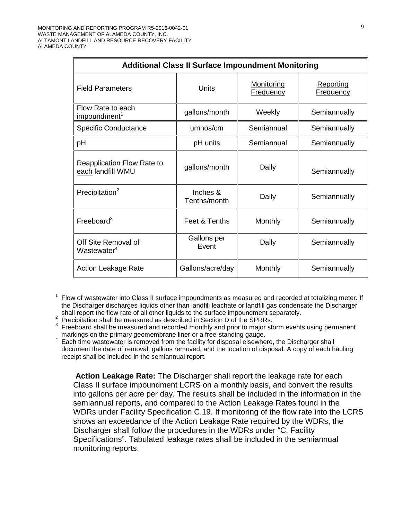| <b>Additional Class II Surface Impoundment Monitoring</b> |                          |                                       |                                      |  |  |
|-----------------------------------------------------------|--------------------------|---------------------------------------|--------------------------------------|--|--|
| <b>Field Parameters</b>                                   | Units                    | <b>Monitoring</b><br><b>Frequency</b> | <b>Reporting</b><br><u>Frequency</u> |  |  |
| Flow Rate to each<br>impoundment <sup>1</sup>             | gallons/month            | Weekly                                | Semiannually                         |  |  |
| <b>Specific Conductance</b>                               | umhos/cm                 | Semiannual                            | Semiannually                         |  |  |
| рH                                                        | pH units                 | Semiannual                            | Semiannually                         |  |  |
| <b>Reapplication Flow Rate to</b><br>each landfill WMU    | gallons/month            | Daily                                 | Semiannually                         |  |  |
| Precipitation <sup>2</sup>                                | Inches &<br>Tenths/month | Daily                                 | Semiannually                         |  |  |
| Freeboard <sup>3</sup>                                    | Feet & Tenths            | Monthly                               | Semiannually                         |  |  |
| Off Site Removal of<br>Wastewater <sup>4</sup>            | Gallons per<br>Event     | Daily                                 | Semiannually                         |  |  |
| <b>Action Leakage Rate</b>                                | Gallons/acre/day         | Monthly                               | Semiannually                         |  |  |

<sup>1</sup> Flow of wastewater into Class II surface impoundments as measured and recorded at totalizing meter. If the Discharger discharges liquids other than landfill leachate or landfill gas condensate the Discharger shall report the flow rate of all other liquids to the surface impoundment separately.

Precipitation shall be measured as described in Section D of the SPRRs.

Freeboard shall be measured and recorded monthly and prior to major storm events using permanent markings on the primary geomembrane liner or a free-standing gauge.

markings on the primary geomembrane liner or a free-standing gauge. <sup>4</sup> Each time wastewater is removed from the facility for disposal elsewhere, the Discharger shall document the date of removal, gallons removed, and the location of disposal. A copy of each hauling receipt shall be included in the semiannual report.

**Action Leakage Rate:** The Discharger shall report the leakage rate for each Class II surface impoundment LCRS on a monthly basis, and convert the results into gallons per acre per day. The results shall be included in the information in the semiannual reports, and compared to the Action Leakage Rates found in the WDRs under Facility Specification C.19. If monitoring of the flow rate into the LCRS shows an exceedance of the Action Leakage Rate required by the WDRs, the Discharger shall follow the procedures in the WDRs under "C. Facility Specifications". Tabulated leakage rates shall be included in the semiannual monitoring reports.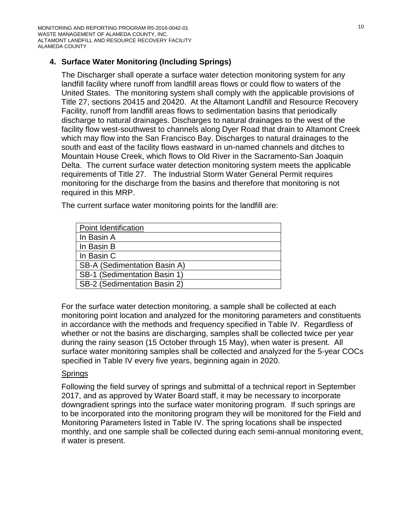# **4. Surface Water Monitoring (Including Springs)**

The Discharger shall operate a surface water detection monitoring system for any landfill facility where runoff from landfill areas flows or could flow to waters of the United States. The monitoring system shall comply with the applicable provisions of Title 27, sections 20415 and 20420. At the Altamont Landfill and Resource Recovery Facility, runoff from landfill areas flows to sedimentation basins that periodically discharge to natural drainages. Discharges to natural drainages to the west of the facility flow west-southwest to channels along Dyer Road that drain to Altamont Creek which may flow into the San Francisco Bay. Discharges to natural drainages to the south and east of the facility flows eastward in un-named channels and ditches to Mountain House Creek, which flows to Old River in the Sacramento-San Joaquin Delta. The current surface water detection monitoring system meets the applicable requirements of Title 27. The Industrial Storm Water General Permit requires monitoring for the discharge from the basins and therefore that monitoring is not required in this MRP.

The current surface water monitoring points for the landfill are:

For the surface water detection monitoring, a sample shall be collected at each monitoring point location and analyzed for the monitoring parameters and constituents in accordance with the methods and frequency specified in Table IV. Regardless of whether or not the basins are discharging, samples shall be collected twice per year during the rainy season (15 October through 15 May), when water is present. All surface water monitoring samples shall be collected and analyzed for the 5-year COCs specified in Table IV every five years, beginning again in 2020.

## Springs

Following the field survey of springs and submittal of a technical report in September 2017, and as approved by Water Board staff, it may be necessary to incorporate downgradient springs into the surface water monitoring program. If such springs are to be incorporated into the monitoring program they will be monitored for the Field and Monitoring Parameters listed in Table IV. The spring locations shall be inspected monthly, and one sample shall be collected during each semi-annual monitoring event, if water is present.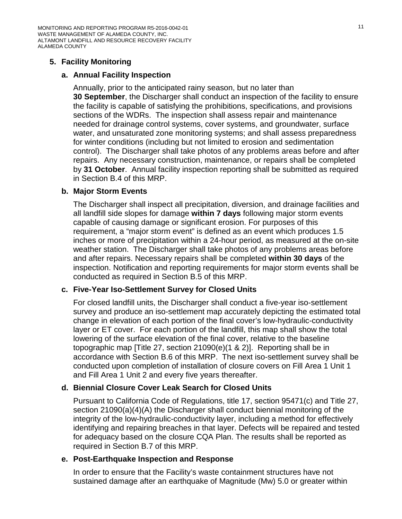MONITORING AND REPORTING PROGRAM R5-2016-0042-01 WASTE MANAGEMENT OF ALAMEDA COUNTY, INC. ALTAMONT LANDFILL AND RESOURCE RECOVERY FACILITY ALAMEDA COUNTY

## **5. Facility Monitoring**

### **a. Annual Facility Inspection**

Annually, prior to the anticipated rainy season, but no later than **30 September**, the Discharger shall conduct an inspection of the facility to ensure the facility is capable of satisfying the prohibitions, specifications, and provisions sections of the WDRs. The inspection shall assess repair and maintenance needed for drainage control systems, cover systems, and groundwater, surface water, and unsaturated zone monitoring systems; and shall assess preparedness for winter conditions (including but not limited to erosion and sedimentation control). The Discharger shall take photos of any problems areas before and after repairs. Any necessary construction, maintenance, or repairs shall be completed by **31 October**. Annual facility inspection reporting shall be submitted as required in Section B[.4](#page-19-1) of this MRP.

### <span id="page-10-0"></span>**b. Major Storm Events**

The Discharger shall inspect all precipitation, diversion, and drainage facilities and all landfill side slopes for damage **within 7 days** following major storm events capable of causing damage or significant erosion. For purposes of this requirement, a "major storm event" is defined as an event which produces 1.5 inches or more of precipitation within a 24-hour period, as measured at the on-site weather station. The Discharger shall take photos of any problems areas before and after repairs. Necessary repairs shall be completed **within 30 days** of the inspection. Notification and reporting requirements for major storm events shall be conducted as required in Section B[.5](#page-19-2) of this MRP.

### **c. Five-Year Iso-Settlement Survey for Closed Units**

For closed landfill units, the Discharger shall conduct a five-year iso-settlement survey and produce an iso-settlement map accurately depicting the estimated total change in elevation of each portion of the final cover's low-hydraulic-conductivity layer or ET cover. For each portion of the landfill, this map shall show the total lowering of the surface elevation of the final cover, relative to the baseline topographic map [Title 27, section 21090(e)(1 & 2)]. Reporting shall be in accordance with Section B[.6](#page-20-0) of this MRP. The next iso-settlement survey shall be conducted upon completion of installation of closure covers on Fill Area 1 Unit 1 and Fill Area 1 Unit 2 and every five years thereafter.

### **d. Biennial Closure Cover Leak Search for Closed Units**

Pursuant to California Code of Regulations, title 17, section 95471(c) and Title 27, section 21090(a)(4)(A) the Discharger shall conduct biennial monitoring of the integrity of the low-hydraulic-conductivity layer, including a method for effectively identifying and repairing breaches in that layer. Defects will be repaired and tested for adequacy based on the closure CQA Plan. The results shall be reported as required in Section B.7 of this MRP.

### **e. Post-Earthquake Inspection and Response**

In order to ensure that the Facility's waste containment structures have not sustained damage after an earthquake of Magnitude (Mw) 5.0 or greater within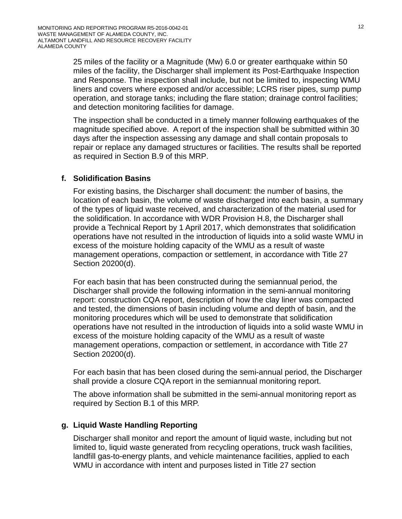25 miles of the facility or a Magnitude (Mw) 6.0 or greater earthquake within 50 miles of the facility, the Discharger shall implement its Post-Earthquake Inspection and Response. The inspection shall include, but not be limited to, inspecting WMU liners and covers where exposed and/or accessible; LCRS riser pipes, sump pump operation, and storage tanks; including the flare station; drainage control facilities; and detection monitoring facilities for damage.

The inspection shall be conducted in a timely manner following earthquakes of the magnitude specified above. A report of the inspection shall be submitted within 30 days after the inspection assessing any damage and shall contain proposals to repair or replace any damaged structures or facilities. The results shall be reported as required in Section B.9 of this MRP.

## **f. Solidification Basins**

For existing basins, the Discharger shall document: the number of basins, the location of each basin, the volume of waste discharged into each basin, a summary of the types of liquid waste received, and characterization of the material used for the solidification. In accordance with WDR Provision H.8, the Discharger shall provide a Technical Report by 1 April 2017, which demonstrates that solidification operations have not resulted in the introduction of liquids into a solid waste WMU in excess of the moisture holding capacity of the WMU as a result of waste management operations, compaction or settlement, in accordance with Title 27 Section 20200(d).

For each basin that has been constructed during the semiannual period, the Discharger shall provide the following information in the semi-annual monitoring report: construction CQA report, description of how the clay liner was compacted and tested, the dimensions of basin including volume and depth of basin, and the monitoring procedures which will be used to demonstrate that solidification operations have not resulted in the introduction of liquids into a solid waste WMU in excess of the moisture holding capacity of the WMU as a result of waste management operations, compaction or settlement, in accordance with Title 27 Section 20200(d).

For each basin that has been closed during the semi-annual period, the Discharger shall provide a closure CQA report in the semiannual monitoring report.

The above information shall be submitted in the semi-annual monitoring report as required by Section B.1 of this MRP.

## **g. Liquid Waste Handling Reporting**

Discharger shall monitor and report the amount of liquid waste, including but not limited to, liquid waste generated from recycling operations, truck wash facilities, landfill gas-to-energy plants, and vehicle maintenance facilities, applied to each WMU in accordance with intent and purposes listed in Title 27 section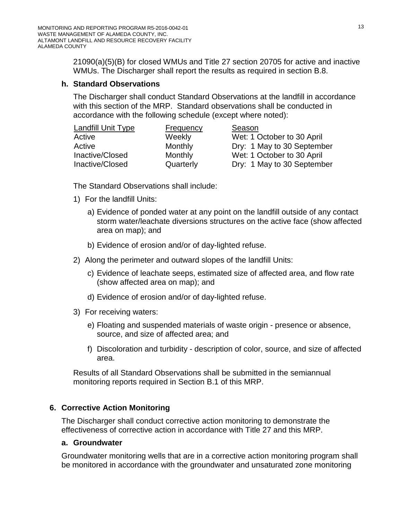21090(a)(5)(B) for closed WMUs and Title 27 section 20705 for active and inactive WMUs. The Discharger shall report the results as required in section B.8.

### **h. Standard Observations**

The Discharger shall conduct Standard Observations at the landfill in accordance with this section of the MRP. Standard observations shall be conducted in accordance with the following schedule (except where noted):

| <b>Landfill Unit Type</b> | <b>Frequency</b> | Season                     |
|---------------------------|------------------|----------------------------|
| Active                    | Weekly           | Wet: 1 October to 30 April |
| Active                    | Monthly          | Dry: 1 May to 30 September |
| Inactive/Closed           | Monthly          | Wet: 1 October to 30 April |
| Inactive/Closed           | Quarterly        | Dry: 1 May to 30 September |

The Standard Observations shall include:

- 1) For the landfill Units:
	- a) Evidence of ponded water at any point on the landfill outside of any contact storm water/leachate diversions structures on the active face (show affected area on map); and
	- b) Evidence of erosion and/or of day-lighted refuse.
- 2) Along the perimeter and outward slopes of the landfill Units:
	- c) Evidence of leachate seeps, estimated size of affected area, and flow rate (show affected area on map); and
	- d) Evidence of erosion and/or of day-lighted refuse.
- 3) For receiving waters:
	- e) Floating and suspended materials of waste origin presence or absence, source, and size of affected area; and
	- f) Discoloration and turbidity description of color, source, and size of affected area.

Results of all Standard Observations shall be submitted in the semiannual monitoring reports required in Section B.1 of this MRP.

## **6. Corrective Action Monitoring**

The Discharger shall conduct corrective action monitoring to demonstrate the effectiveness of corrective action in accordance with Title 27 and this MRP.

### **a. Groundwater**

Groundwater monitoring wells that are in a corrective action monitoring program shall be monitored in accordance with the groundwater and unsaturated zone monitoring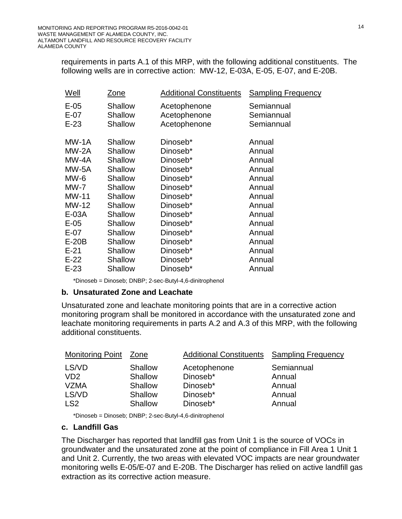requirements in parts A.1 of this MRP, with the following additional constituents. The following wells are in corrective action: MW-12, E-03A, E-05, E-07, and E-20B.

| Zone                                        |         | <b>Sampling Frequency</b>                                                                                                                                                                                                                                          |
|---------------------------------------------|---------|--------------------------------------------------------------------------------------------------------------------------------------------------------------------------------------------------------------------------------------------------------------------|
| Shallow<br><b>Shallow</b><br><b>Shallow</b> |         | Semiannual<br>Semiannual<br>Semiannual                                                                                                                                                                                                                             |
| Shallow                                     |         | Annual<br>Annual                                                                                                                                                                                                                                                   |
| Shallow                                     |         | Annual                                                                                                                                                                                                                                                             |
| <b>Shallow</b>                              |         | Annual                                                                                                                                                                                                                                                             |
| Shallow                                     |         | Annual                                                                                                                                                                                                                                                             |
| Shallow                                     |         | Annual                                                                                                                                                                                                                                                             |
| Shallow                                     |         | Annual                                                                                                                                                                                                                                                             |
| Shallow                                     |         | Annual                                                                                                                                                                                                                                                             |
| Shallow                                     |         | Annual                                                                                                                                                                                                                                                             |
| <b>Shallow</b>                              |         | Annual                                                                                                                                                                                                                                                             |
| Shallow                                     |         | Annual                                                                                                                                                                                                                                                             |
| <b>Shallow</b>                              |         | Annual                                                                                                                                                                                                                                                             |
| Shallow                                     |         | Annual                                                                                                                                                                                                                                                             |
| Shallow                                     |         | Annual                                                                                                                                                                                                                                                             |
| <b>Shallow</b>                              |         | Annual                                                                                                                                                                                                                                                             |
|                                             | Shallow | <b>Additional Constituents</b><br>Acetophenone<br>Acetophenone<br>Acetophenone<br>Dinoseb*<br>Dinoseb*<br>Dinoseb*<br>Dinoseb*<br>Dinoseb*<br>Dinoseb*<br>Dinoseb*<br>Dinoseb*<br>Dinoseb*<br>Dinoseb*<br>Dinoseb*<br>Dinoseb*<br>Dinoseb*<br>Dinoseb*<br>Dinoseb* |

\*Dinoseb = Dinoseb; DNBP; 2-sec-Butyl-4,6-dinitrophenol

#### **b. Unsaturated Zone and Leachate**

Unsaturated zone and leachate monitoring points that are in a corrective action monitoring program shall be monitored in accordance with the unsaturated zone and leachate monitoring requirements in parts A.2 and A.3 of this MRP, with the following additional constituents.

| <b>Monitoring Point</b>     | Zone    | <b>Additional Constituents</b> | <b>Sampling Frequency</b> |
|-----------------------------|---------|--------------------------------|---------------------------|
| LS/VD                       | Shallow | Acetophenone                   | Semiannual                |
| V <sub>D</sub> <sub>2</sub> | Shallow | Dinoseb*                       | Annual                    |
| <b>VZMA</b>                 | Shallow | Dinoseb*                       | Annual                    |
| LS/VD                       | Shallow | Dinoseb*                       | Annual                    |
| LS <sub>2</sub>             | Shallow | Dinoseb*                       | Annual                    |

\*Dinoseb = Dinoseb; DNBP; 2-sec-Butyl-4,6-dinitrophenol

### **c. Landfill Gas**

The Discharger has reported that landfill gas from Unit 1 is the source of VOCs in groundwater and the unsaturated zone at the point of compliance in Fill Area 1 Unit 1 and Unit 2. Currently, the two areas with elevated VOC impacts are near groundwater monitoring wells E-05/E-07 and E-20B. The Discharger has relied on active landfill gas extraction as its corrective action measure.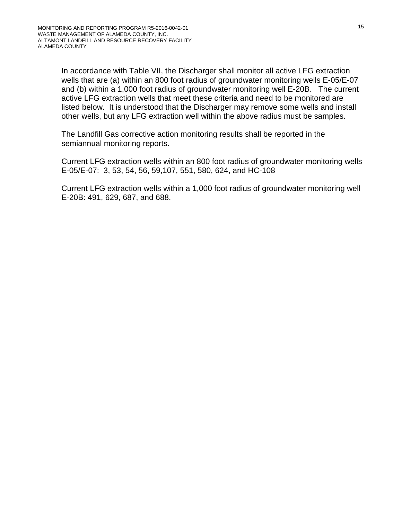In accordance with Table VII, the Discharger shall monitor all active LFG extraction wells that are (a) within an 800 foot radius of groundwater monitoring wells E-05/E-07 and (b) within a 1,000 foot radius of groundwater monitoring well E-20B. The current active LFG extraction wells that meet these criteria and need to be monitored are listed below. It is understood that the Discharger may remove some wells and install other wells, but any LFG extraction well within the above radius must be samples.

The Landfill Gas corrective action monitoring results shall be reported in the semiannual monitoring reports.

Current LFG extraction wells within an 800 foot radius of groundwater monitoring wells E-05/E-07: 3, 53, 54, 56, 59,107, 551, 580, 624, and HC-108

Current LFG extraction wells within a 1,000 foot radius of groundwater monitoring well E-20B: 491, 629, 687, and 688.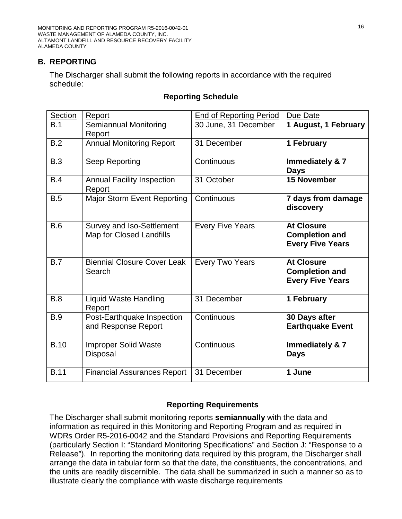MONITORING AND REPORTING PROGRAM R5-2016-0042-01 WASTE MANAGEMENT OF ALAMEDA COUNTY, INC. ALTAMONT LANDFILL AND RESOURCE RECOVERY FACILITY ALAMEDA COUNTY

## **B. REPORTING**

The Discharger shall submit the following reports in accordance with the required schedule:

### **Reporting Schedule**

| Section     | Report                                                       | <b>End of Reporting Period</b> | Due Date                                                              |
|-------------|--------------------------------------------------------------|--------------------------------|-----------------------------------------------------------------------|
| B.1         | Semiannual Monitoring<br>Report                              | 30 June, 31 December           | 1 August, 1 February                                                  |
| B.2         | <b>Annual Monitoring Report</b>                              | 31 December                    | 1 February                                                            |
| B.3         | Seep Reporting                                               | Continuous                     | Immediately & 7<br><b>Days</b>                                        |
| B.4         | <b>Annual Facility Inspection</b><br>Report                  | 31 October                     | 15 November                                                           |
| B.5         | <b>Major Storm Event Reporting</b>                           | Continuous                     | 7 days from damage<br>discovery                                       |
| B.6         | Survey and Iso-Settlement<br><b>Map for Closed Landfills</b> | <b>Every Five Years</b>        | <b>At Closure</b><br><b>Completion and</b><br><b>Every Five Years</b> |
| B.7         | <b>Biennial Closure Cover Leak</b><br>Search                 | <b>Every Two Years</b>         | <b>At Closure</b><br><b>Completion and</b><br><b>Every Five Years</b> |
| B.8         | <b>Liquid Waste Handling</b><br>Report                       | 31 December                    | 1 February                                                            |
| <b>B.9</b>  | Post-Earthquake Inspection<br>and Response Report            | Continuous                     | 30 Days after<br><b>Earthquake Event</b>                              |
| <b>B.10</b> | <b>Improper Solid Waste</b><br>Disposal                      | Continuous                     | Immediately & 7<br><b>Days</b>                                        |
| <b>B.11</b> | <b>Financial Assurances Report</b>                           | 31 December                    | 1 June                                                                |

### **Reporting Requirements**

The Discharger shall submit monitoring reports **semiannually** with the data and information as required in this Monitoring and Reporting Program and as required in WDRs Order R5-2016-0042 and the Standard Provisions and Reporting Requirements (particularly Section I: "Standard Monitoring Specifications" and Section J: "Response to a Release"). In reporting the monitoring data required by this program, the Discharger shall arrange the data in tabular form so that the date, the constituents, the concentrations, and the units are readily discernible. The data shall be summarized in such a manner so as to illustrate clearly the compliance with waste discharge requirements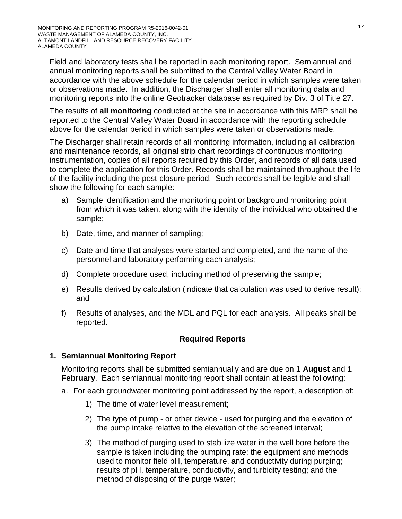Field and laboratory tests shall be reported in each monitoring report. Semiannual and annual monitoring reports shall be submitted to the Central Valley Water Board in accordance with the above schedule for the calendar period in which samples were taken or observations made. In addition, the Discharger shall enter all monitoring data and monitoring reports into the online Geotracker database as required by Div. 3 of Title 27.

The results of **all monitoring** conducted at the site in accordance with this MRP shall be reported to the Central Valley Water Board in accordance with the reporting schedule above for the calendar period in which samples were taken or observations made.

The Discharger shall retain records of all monitoring information, including all calibration and maintenance records, all original strip chart recordings of continuous monitoring instrumentation, copies of all reports required by this Order, and records of all data used to complete the application for this Order. Records shall be maintained throughout the life of the facility including the post-closure period. Such records shall be legible and shall show the following for each sample:

- a) Sample identification and the monitoring point or background monitoring point from which it was taken, along with the identity of the individual who obtained the sample;
- b) Date, time, and manner of sampling;
- c) Date and time that analyses were started and completed, and the name of the personnel and laboratory performing each analysis;
- d) Complete procedure used, including method of preserving the sample;
- e) Results derived by calculation (indicate that calculation was used to derive result); and
- f) Results of analyses, and the MDL and PQL for each analysis. All peaks shall be reported.

# **Required Reports**

# **1. Semiannual Monitoring Report**

Monitoring reports shall be submitted semiannually and are due on **1 August** and **1 February**. Each semiannual monitoring report shall contain at least the following:

- a. For each groundwater monitoring point addressed by the report, a description of:
	- 1) The time of water level measurement;
	- 2) The type of pump or other device used for purging and the elevation of the pump intake relative to the elevation of the screened interval;
	- 3) The method of purging used to stabilize water in the well bore before the sample is taken including the pumping rate; the equipment and methods used to monitor field pH, temperature, and conductivity during purging; results of pH, temperature, conductivity, and turbidity testing; and the method of disposing of the purge water;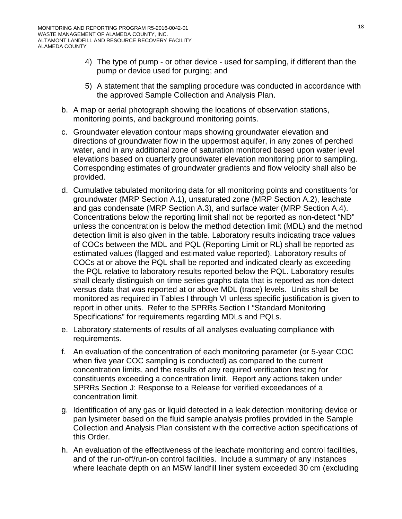- 4) The type of pump or other device used for sampling, if different than the pump or device used for purging; and
- 5) A statement that the sampling procedure was conducted in accordance with the approved Sample Collection and Analysis Plan.
- b. A map or aerial photograph showing the locations of observation stations, monitoring points, and background monitoring points.
- c. Groundwater elevation contour maps showing groundwater elevation and directions of groundwater flow in the uppermost aquifer, in any zones of perched water, and in any additional zone of saturation monitored based upon water level elevations based on quarterly groundwater elevation monitoring prior to sampling. Corresponding estimates of groundwater gradients and flow velocity shall also be provided.
- d. Cumulative tabulated monitoring data for all monitoring points and constituents for groundwater (MRP Section A.1), unsaturated zone (MRP Section A.2), leachate and gas condensate (MRP Section A.3), and surface water (MRP Section A.4). Concentrations below the reporting limit shall not be reported as non-detect "ND" unless the concentration is below the method detection limit (MDL) and the method detection limit is also given in the table. Laboratory results indicating trace values of COCs between the MDL and PQL (Reporting Limit or RL) shall be reported as estimated values (flagged and estimated value reported). Laboratory results of COCs at or above the PQL shall be reported and indicated clearly as exceeding the PQL relative to laboratory results reported below the PQL. Laboratory results shall clearly distinguish on time series graphs data that is reported as non-detect versus data that was reported at or above MDL (trace) levels. Units shall be monitored as required in Tables I through VI unless specific justification is given to report in other units. Refer to the SPRRs Section I "Standard Monitoring Specifications" for requirements regarding MDLs and PQLs.
- e. Laboratory statements of results of all analyses evaluating compliance with requirements.
- f. An evaluation of the concentration of each monitoring parameter (or 5-year COC when five year COC sampling is conducted) as compared to the current concentration limits, and the results of any required verification testing for constituents exceeding a concentration limit. Report any actions taken under SPRRs Section J: Response to a Release for verified exceedances of a concentration limit.
- g. Identification of any gas or liquid detected in a leak detection monitoring device or pan lysimeter based on the fluid sample analysis profiles provided in the Sample Collection and Analysis Plan consistent with the corrective action specifications of this Order.
- h. An evaluation of the effectiveness of the leachate monitoring and control facilities, and of the run-off/run-on control facilities. Include a summary of any instances where leachate depth on an MSW landfill liner system exceeded 30 cm (excluding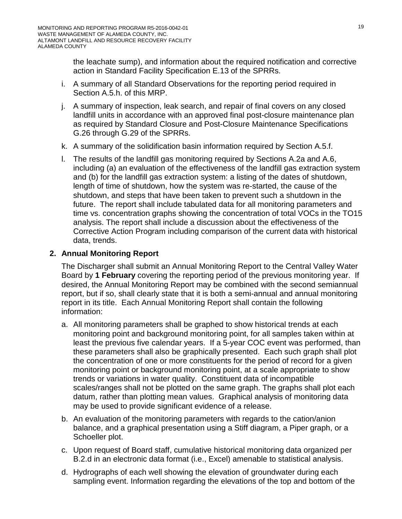the leachate sump), and information about the required notification and corrective action in Standard Facility Specification E.13 of the SPRRs.

- i. A summary of all Standard Observations for the reporting period required in Section A.5.h. of this MRP.
- j. A summary of inspection, leak search, and repair of final covers on any closed landfill units in accordance with an approved final post-closure maintenance plan as required by Standard Closure and Post-Closure Maintenance Specifications G.26 through G.29 of the SPRRs.
- k. A summary of the solidification basin information required by Section A.5.f.
- l. The results of the landfill gas monitoring required by Sections A.2a and A.6, including (a) an evaluation of the effectiveness of the landfill gas extraction system and (b) for the landfill gas extraction system: a listing of the dates of shutdown, length of time of shutdown, how the system was re-started, the cause of the shutdown, and steps that have been taken to prevent such a shutdown in the future. The report shall include tabulated data for all monitoring parameters and time vs. concentration graphs showing the concentration of total VOCs in the TO15 analysis. The report shall include a discussion about the effectiveness of the Corrective Action Program including comparison of the current data with historical data, trends.

## **2. Annual Monitoring Report**

The Discharger shall submit an Annual Monitoring Report to the Central Valley Water Board by **1 February** covering the reporting period of the previous monitoring year. If desired, the Annual Monitoring Report may be combined with the second semiannual report, but if so, shall clearly state that it is both a semi-annual and annual monitoring report in its title. Each Annual Monitoring Report shall contain the following information:

- a. All monitoring parameters shall be graphed to show historical trends at each monitoring point and background monitoring point, for all samples taken within at least the previous five calendar years. If a 5-year COC event was performed, than these parameters shall also be graphically presented. Each such graph shall plot the concentration of one or more constituents for the period of record for a given monitoring point or background monitoring point, at a scale appropriate to show trends or variations in water quality. Constituent data of incompatible scales/ranges shall not be plotted on the same graph. The graphs shall plot each datum, rather than plotting mean values. Graphical analysis of monitoring data may be used to provide significant evidence of a release.
- b. An evaluation of the monitoring parameters with regards to the cation/anion balance, and a graphical presentation using a Stiff diagram, a Piper graph, or a Schoeller plot.
- c. Upon request of Board staff, cumulative historical monitoring data organized per B.2.d in an electronic data format (i.e., Excel) amenable to statistical analysis.
- d. Hydrographs of each well showing the elevation of groundwater during each sampling event. Information regarding the elevations of the top and bottom of the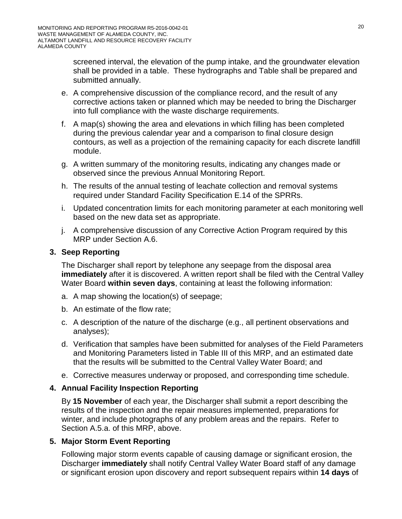screened interval, the elevation of the pump intake, and the groundwater elevation shall be provided in a table. These hydrographs and Table shall be prepared and submitted annually.

- e. A comprehensive discussion of the compliance record, and the result of any corrective actions taken or planned which may be needed to bring the Discharger into full compliance with the waste discharge requirements.
- f. A map(s) showing the area and elevations in which filling has been completed during the previous calendar year and a comparison to final closure design contours, as well as a projection of the remaining capacity for each discrete landfill module.
- g. A written summary of the monitoring results, indicating any changes made or observed since the previous Annual Monitoring Report.
- h. The results of the annual testing of leachate collection and removal systems required under Standard Facility Specification E.14 of the SPRRs.
- i. Updated concentration limits for each monitoring parameter at each monitoring well based on the new data set as appropriate.
- j. A comprehensive discussion of any Corrective Action Program required by this MRP under Section A.6.

## <span id="page-19-0"></span>**3. Seep Reporting**

The Discharger shall report by telephone any seepage from the disposal area **immediately** after it is discovered. A written report shall be filed with the Central Valley Water Board **within seven days**, containing at least the following information:

- a. A map showing the location(s) of seepage;
- b. An estimate of the flow rate;
- c. A description of the nature of the discharge (e.g., all pertinent observations and analyses);
- d. Verification that samples have been submitted for analyses of the Field Parameters and Monitoring Parameters listed in Table III of this MRP, and an estimated date that the results will be submitted to the Central Valley Water Board; and
- e. Corrective measures underway or proposed, and corresponding time schedule.

# <span id="page-19-1"></span>**4. Annual Facility Inspection Reporting**

By **15 November** of each year, the Discharger shall submit a report describing the results of the inspection and the repair measures implemented, preparations for winter, and include photographs of any problem areas and the repairs. Refer to Section A.5.a. of this MRP, above.

# <span id="page-19-2"></span>**5. Major Storm Event Reporting**

Following major storm events capable of causing damage or significant erosion, the Discharger **immediately** shall notify Central Valley Water Board staff of any damage or significant erosion upon discovery and report subsequent repairs within **14 days** of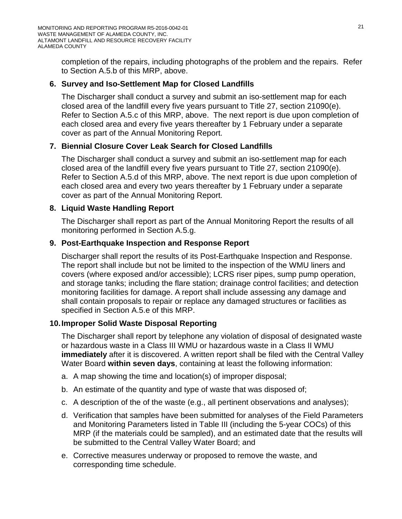completion of the repairs, including photographs of the problem and the repairs. Refer to Section A.5[.b](#page-10-0) of this MRP, above.

# <span id="page-20-0"></span>**6. Survey and Iso-Settlement Map for Closed Landfills**

The Discharger shall conduct a survey and submit an iso-settlement map for each closed area of the landfill every five years pursuant to Title 27, section 21090(e). Refer to Section A.5.c of this MRP, above. The next report is due upon completion of each closed area and every five years thereafter by 1 February under a separate cover as part of the Annual Monitoring Report.

# **7. Biennial Closure Cover Leak Search for Closed Landfills**

The Discharger shall conduct a survey and submit an iso-settlement map for each closed area of the landfill every five years pursuant to Title 27, section 21090(e). Refer to Section A.5.d of this MRP, above. The next report is due upon completion of each closed area and every two years thereafter by 1 February under a separate cover as part of the Annual Monitoring Report.

## **8. Liquid Waste Handling Report**

The Discharger shall report as part of the Annual Monitoring Report the results of all monitoring performed in Section A.5.g.

## **9. Post-Earthquake Inspection and Response Report**

Discharger shall report the results of its Post-Earthquake Inspection and Response. The report shall include but not be limited to the inspection of the WMU liners and covers (where exposed and/or accessible); LCRS riser pipes, sump pump operation, and storage tanks; including the flare station; drainage control facilities; and detection monitoring facilities for damage. A report shall include assessing any damage and shall contain proposals to repair or replace any damaged structures or facilities as specified in Section A.5.e of this MRP.

## **10.Improper Solid Waste Disposal Reporting**

The Discharger shall report by telephone any violation of disposal of designated waste or hazardous waste in a Class III WMU or hazardous waste in a Class II WMU **immediately** after it is discovered. A written report shall be filed with the Central Valley Water Board **within seven days**, containing at least the following information:

- a. A map showing the time and location(s) of improper disposal;
- b. An estimate of the quantity and type of waste that was disposed of;
- c. A description of the of the waste (e.g., all pertinent observations and analyses);
- d. Verification that samples have been submitted for analyses of the Field Parameters and Monitoring Parameters listed in Table III (including the 5-year COCs) of this MRP (if the materials could be sampled), and an estimated date that the results will be submitted to the Central Valley Water Board; and
- e. Corrective measures underway or proposed to remove the waste, and corresponding time schedule.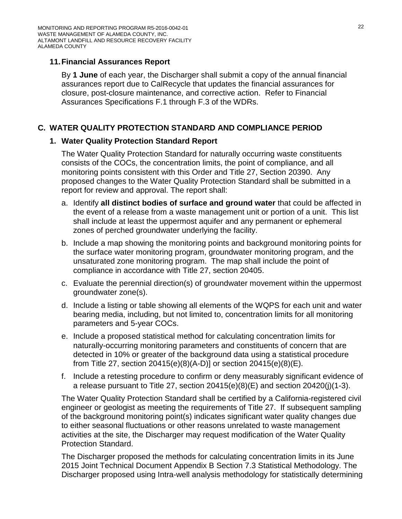## **11.Financial Assurances Report**

By **1 June** of each year, the Discharger shall submit a copy of the annual financial assurances report due to CalRecycle that updates the financial assurances for closure, post-closure maintenance, and corrective action. Refer to Financial Assurances Specifications F.1 through F.3 of the WDRs.

# **C. WATER QUALITY PROTECTION STANDARD AND COMPLIANCE PERIOD**

## **1. Water Quality Protection Standard Report**

The Water Quality Protection Standard for naturally occurring waste constituents consists of the COCs, the concentration limits, the point of compliance, and all monitoring points consistent with this Order and Title 27, Section 20390. Any proposed changes to the Water Quality Protection Standard shall be submitted in a report for review and approval. The report shall:

- a. Identify **all distinct bodies of surface and ground water** that could be affected in the event of a release from a waste management unit or portion of a unit. This list shall include at least the uppermost aquifer and any permanent or ephemeral zones of perched groundwater underlying the facility.
- b. Include a map showing the monitoring points and background monitoring points for the surface water monitoring program, groundwater monitoring program, and the unsaturated zone monitoring program. The map shall include the point of compliance in accordance with Title 27, section 20405.
- c. Evaluate the perennial direction(s) of groundwater movement within the uppermost groundwater zone(s).
- d. Include a listing or table showing all elements of the WQPS for each unit and water bearing media, including, but not limited to, concentration limits for all monitoring parameters and 5-year COCs.
- e. Include a proposed statistical method for calculating concentration limits for naturally-occurring monitoring parameters and constituents of concern that are detected in 10% or greater of the background data using a statistical procedure from Title 27, section 20415(e)(8)(A-D)] or section 20415(e)(8)(E).
- f. Include a retesting procedure to confirm or deny measurably significant evidence of a release pursuant to Title 27, section 20415(e)(8)(E) and section 20420(j)(1-3).

The Water Quality Protection Standard shall be certified by a California-registered civil engineer or geologist as meeting the requirements of Title 27. If subsequent sampling of the background monitoring point(s) indicates significant water quality changes due to either seasonal fluctuations or other reasons unrelated to waste management activities at the site, the Discharger may request modification of the Water Quality Protection Standard.

The Discharger proposed the methods for calculating concentration limits in its June 2015 Joint Technical Document Appendix B Section 7.3 Statistical Methodology. The Discharger proposed using Intra-well analysis methodology for statistically determining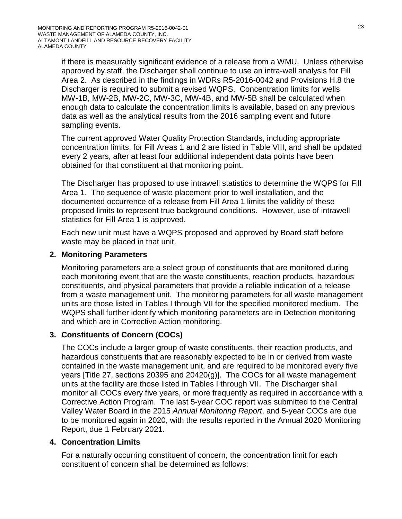if there is measurably significant evidence of a release from a WMU. Unless otherwise approved by staff, the Discharger shall continue to use an intra-well analysis for Fill Area 2. As described in the findings in WDRs R5-2016-0042 and Provisions H.8 the Discharger is required to submit a revised WQPS. Concentration limits for wells MW-1B, MW-2B, MW-2C, MW-3C, MW-4B, and MW-5B shall be calculated when enough data to calculate the concentration limits is available, based on any previous data as well as the analytical results from the 2016 sampling event and future sampling events.

The current approved Water Quality Protection Standards, including appropriate concentration limits, for Fill Areas 1 and 2 are listed in Table VIII, and shall be updated every 2 years, after at least four additional independent data points have been obtained for that constituent at that monitoring point.

The Discharger has proposed to use intrawell statistics to determine the WQPS for Fill Area 1. The sequence of waste placement prior to well installation, and the documented occurrence of a release from Fill Area 1 limits the validity of these proposed limits to represent true background conditions. However, use of intrawell statistics for Fill Area 1 is approved.

Each new unit must have a WQPS proposed and approved by Board staff before waste may be placed in that unit.

## **2. Monitoring Parameters**

Monitoring parameters are a select group of constituents that are monitored during each monitoring event that are the waste constituents, reaction products, hazardous constituents, and physical parameters that provide a reliable indication of a release from a waste management unit. The monitoring parameters for all waste management units are those listed in Tables I through VII for the specified monitored medium. The WQPS shall further identify which monitoring parameters are in Detection monitoring and which are in Corrective Action monitoring.

## **3. Constituents of Concern (COCs)**

The COCs include a larger group of waste constituents, their reaction products, and hazardous constituents that are reasonably expected to be in or derived from waste contained in the waste management unit, and are required to be monitored every five years [Title 27, sections 20395 and 20420(g)]. The COCs for all waste management units at the facility are those listed in Tables I through VII. The Discharger shall monitor all COCs every five years, or more frequently as required in accordance with a Corrective Action Program. The last 5-year COC report was submitted to the Central Valley Water Board in the 2015 *Annual Monitoring Report*, and 5-year COCs are due to be monitored again in 2020, with the results reported in the Annual 2020 Monitoring Report, due 1 February 2021.

# **4. Concentration Limits**

For a naturally occurring constituent of concern, the concentration limit for each constituent of concern shall be determined as follows: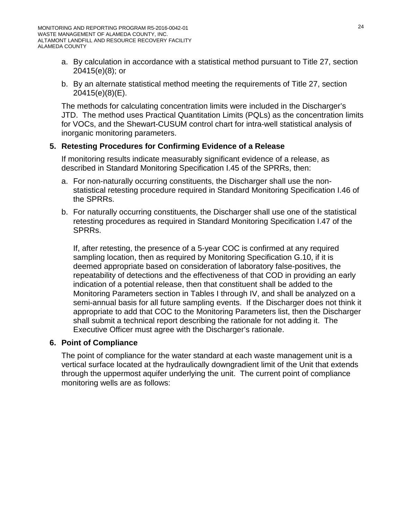- a. By calculation in accordance with a statistical method pursuant to Title 27, section 20415(e)(8); or
- b. By an alternate statistical method meeting the requirements of Title 27, section 20415(e)(8)(E).

The methods for calculating concentration limits were included in the Discharger's JTD. The method uses Practical Quantitation Limits (PQLs) as the concentration limits for VOCs, and the Shewart-CUSUM control chart for intra-well statistical analysis of inorganic monitoring parameters.

## **5. Retesting Procedures for Confirming Evidence of a Release**

If monitoring results indicate measurably significant evidence of a release, as described in Standard Monitoring Specification I.45 of the SPRRs, then:

- a. For non-naturally occurring constituents, the Discharger shall use the nonstatistical retesting procedure required in Standard Monitoring Specification I.46 of the SPRRs.
- b. For naturally occurring constituents, the Discharger shall use one of the statistical retesting procedures as required in Standard Monitoring Specification I.47 of the SPRRs.

If, after retesting, the presence of a 5-year COC is confirmed at any required sampling location, then as required by Monitoring Specification G.10, if it is deemed appropriate based on consideration of laboratory false-positives, the repeatability of detections and the effectiveness of that COD in providing an early indication of a potential release, then that constituent shall be added to the Monitoring Parameters section in Tables I through IV, and shall be analyzed on a semi-annual basis for all future sampling events. If the Discharger does not think it appropriate to add that COC to the Monitoring Parameters list, then the Discharger shall submit a technical report describing the rationale for not adding it. The Executive Officer must agree with the Discharger's rationale.

### **6. Point of Compliance**

The point of compliance for the water standard at each waste management unit is a vertical surface located at the hydraulically downgradient limit of the Unit that extends through the uppermost aquifer underlying the unit. The current point of compliance monitoring wells are as follows: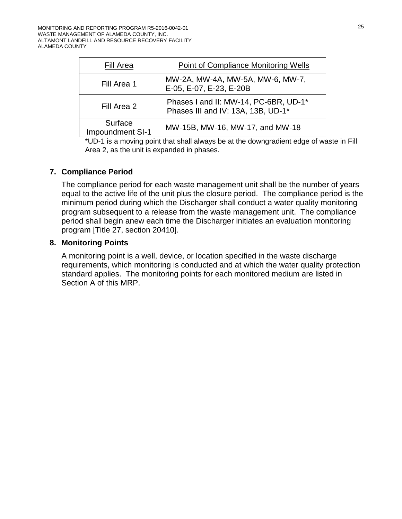| Fill Area                   | <b>Point of Compliance Monitoring Wells</b>                                 |
|-----------------------------|-----------------------------------------------------------------------------|
| Fill Area 1                 | MW-2A, MW-4A, MW-5A, MW-6, MW-7,<br>E-05, E-07, E-23, E-20B                 |
| Fill Area 2                 | Phases I and II: MW-14, PC-6BR, UD-1*<br>Phases III and IV: 13A, 13B, UD-1* |
| Surface<br>Impoundment SI-1 | MW-15B, MW-16, MW-17, and MW-18                                             |

\*UD-1 is a moving point that shall always be at the downgradient edge of waste in Fill Area 2, as the unit is expanded in phases.

## **7. Compliance Period**

The compliance period for each waste management unit shall be the number of years equal to the active life of the unit plus the closure period. The compliance period is the minimum period during which the Discharger shall conduct a water quality monitoring program subsequent to a release from the waste management unit. The compliance period shall begin anew each time the Discharger initiates an evaluation monitoring program [Title 27, section 20410].

## **8. Monitoring Points**

A monitoring point is a well, device, or location specified in the waste discharge requirements, which monitoring is conducted and at which the water quality protection standard applies. The monitoring points for each monitored medium are listed in Section A of this MRP.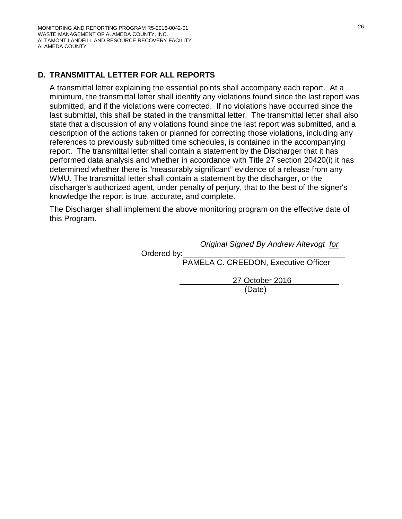# **D. TRANSMITTAL LETTER FOR ALL REPORTS**

A transmittal letter explaining the essential points shall accompany each report. At a minimum, the transmittal letter shall identify any violations found since the last report was submitted, and if the violations were corrected. If no violations have occurred since the last submittal, this shall be stated in the transmittal letter. The transmittal letter shall also state that a discussion of any violations found since the last report was submitted, and a description of the actions taken or planned for correcting those violations, including any references to previously submitted time schedules, is contained in the accompanying report. The transmittal letter shall contain a statement by the Discharger that it has performed data analysis and whether in accordance with Title 27 section 20420(i) it has determined whether there is "measurably significant" evidence of a release from any WMU. The transmittal letter shall contain a statement by the discharger, or the discharger's authorized agent, under penalty of perjury, that to the best of the signer's knowledge the report is true, accurate, and complete.

The Discharger shall implement the above monitoring program on the effective date of this Program.

Ordered by:

*Original Signed By Andrew Altevogt for*

PAMELA C. CREEDON, Executive Officer

27 October 2016

(Date)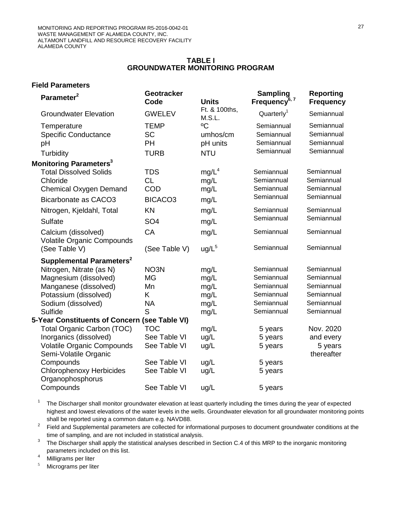#### **TABLE I GROUNDWATER MONITORING PROGRAM**

### **Field Parameters**

| Parameter <sup>2</sup>                                                                             | <b>Geotracker</b><br>Code                                    | <b>Units</b>                              | <b>Sampling</b><br>Frequency <sup>6, 7</sup>         | <b>Reporting</b><br><b>Frequency</b>                 |
|----------------------------------------------------------------------------------------------------|--------------------------------------------------------------|-------------------------------------------|------------------------------------------------------|------------------------------------------------------|
| <b>Groundwater Elevation</b>                                                                       | <b>GWELEV</b>                                                | Ft. & 100ths,<br>M.S.L.                   | Quarterly <sup>1</sup>                               | Semiannual                                           |
| Temperature<br><b>Specific Conductance</b><br>pH<br>Turbidity                                      | <b>TEMP</b><br><b>SC</b><br>PH<br><b>TURB</b>                | °C<br>umhos/cm<br>pH units<br><b>NTU</b>  | Semiannual<br>Semiannual<br>Semiannual<br>Semiannual | Semiannual<br>Semiannual<br>Semiannual<br>Semiannual |
| Monitoring Parameters <sup>3</sup>                                                                 |                                                              |                                           |                                                      |                                                      |
| <b>Total Dissolved Solids</b><br>Chloride<br><b>Chemical Oxygen Demand</b><br>Bicarbonate as CACO3 | <b>TDS</b><br><b>CL</b><br><b>COD</b><br>BICACO <sub>3</sub> | mg/L <sup>4</sup><br>mg/L<br>mg/L<br>mg/L | Semiannual<br>Semiannual<br>Semiannual<br>Semiannual | Semiannual<br>Semiannual<br>Semiannual<br>Semiannual |
| Nitrogen, Kjeldahl, Total                                                                          | KN                                                           | mg/L                                      | Semiannual                                           | Semiannual                                           |
| <b>Sulfate</b>                                                                                     | SO <sub>4</sub>                                              | mg/L                                      | Semiannual                                           | Semiannual                                           |
| Calcium (dissolved)<br><b>Volatile Organic Compounds</b>                                           | CA                                                           | mg/L                                      | Semiannual                                           | Semiannual                                           |
| (See Table V)                                                                                      | (See Table V)                                                | ug/L <sup>5</sup>                         | Semiannual                                           | Semiannual                                           |
| Supplemental Parameters <sup>2</sup>                                                               |                                                              |                                           |                                                      |                                                      |
| Nitrogen, Nitrate (as N)<br>Magnesium (dissolved)                                                  | NO <sub>3</sub> N<br><b>MG</b>                               | mg/L<br>mg/L                              | Semiannual<br>Semiannual                             | Semiannual<br>Semiannual                             |
| Manganese (dissolved)                                                                              | Mn                                                           | mg/L                                      | Semiannual                                           | Semiannual                                           |
| Potassium (dissolved)                                                                              | K                                                            | mg/L                                      | Semiannual                                           | Semiannual                                           |
| Sodium (dissolved)                                                                                 | <b>NA</b>                                                    | mg/L                                      | Semiannual                                           | Semiannual                                           |
| <b>Sulfide</b>                                                                                     | S                                                            | mg/L                                      | Semiannual                                           | Semiannual                                           |
| 5-Year Constituents of Concern (see Table VI)                                                      |                                                              |                                           |                                                      |                                                      |
| Total Organic Carbon (TOC)                                                                         | <b>TOC</b>                                                   | mg/L                                      | 5 years                                              | Nov. 2020                                            |
| Inorganics (dissolved)                                                                             | See Table VI                                                 | ug/L                                      | 5 years                                              | and every                                            |
| <b>Volatile Organic Compounds</b><br>Semi-Volatile Organic                                         | See Table VI                                                 | ug/L                                      | 5 years                                              | 5 years<br>thereafter                                |
| Compounds                                                                                          | See Table VI                                                 | ug/L                                      | 5 years                                              |                                                      |
| <b>Chlorophenoxy Herbicides</b><br>Organophosphorus                                                | See Table VI                                                 | ug/L                                      | 5 years                                              |                                                      |
| Compounds                                                                                          | See Table VI                                                 | ug/L                                      | 5 years                                              |                                                      |

 $1$  The Discharger shall monitor groundwater elevation at least quarterly including the times during the year of expected highest and lowest elevations of the water levels in the wells. Groundwater elevation for all groundwater monitoring points shall be reported using a common datum e.g. NAVD88.

<sup>2</sup> Field and Supplemental parameters are collected for informational purposes to document groundwater conditions at the time of sampling, and are not included in statistical analysis.

<sup>3</sup> The Discharger shall apply the statistical analyses described in Section C.4 of this MRP to the inorganic monitoring parameters included on this list.

 $^{4}$  Milligrams per liter

Micrograms per liter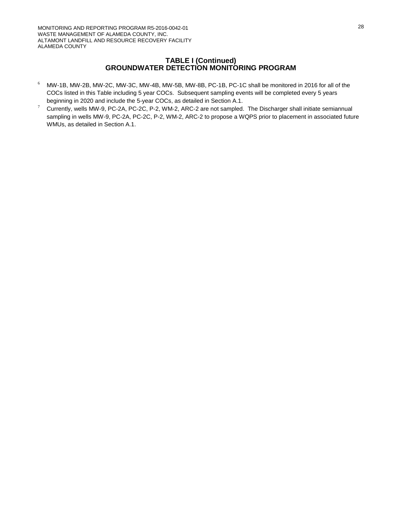#### **TABLE I (Continued) GROUNDWATER DETECTION MONITORING PROGRAM**

- <sup>6</sup> MW-1B, MW-2B, MW-2C, MW-3C, MW-4B, MW-5B, MW-8B, PC-1B, PC-1C shall be monitored in 2016 for all of the COCs listed in this Table including 5 year COCs. Subsequent sampling events will be completed every 5 years beginning in 2020 and include the 5-year COCs, as detailed in Section A.1.
- <sup>7</sup> Currently, wells MW-9, PC-2A, PC-2C, P-2, WM-2, ARC-2 are not sampled. The Discharger shall initiate semiannual sampling in wells MW-9, PC-2A, PC-2C, P-2, WM-2, ARC-2 to propose a WQPS prior to placement in associated future WMUs, as detailed in Section A.1.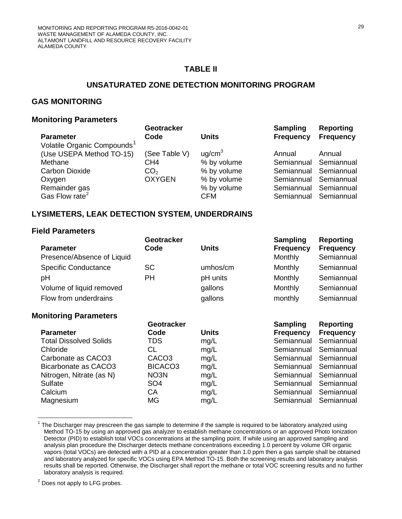# **TABLE II**

## **UNSATURATED ZONE DETECTION MONITORING PROGRAM**

# **GAS MONITORING**

#### **Monitoring Parameters**

|                                         | Geotracker      |                    | Sampling              | Reporting             |
|-----------------------------------------|-----------------|--------------------|-----------------------|-----------------------|
| <b>Parameter</b>                        | Code            | <b>Units</b>       | <b>Frequency</b>      | <b>Frequency</b>      |
| Volatile Organic Compounds <sup>1</sup> |                 |                    |                       |                       |
| (Use USEPA Method TO-15)                | (See Table V)   | uq/cm <sup>3</sup> | Annual                | Annual                |
| Methane                                 | CH <sub>4</sub> | % by volume        | Semiannual Semiannual |                       |
| Carbon Dioxide                          | CO <sub>2</sub> | % by volume        |                       | Semiannual Semiannual |
| Oxygen                                  | <b>OXYGEN</b>   | % by volume        | Semiannual Semiannual |                       |
| Remainder gas                           |                 | % by volume        |                       | Semiannual Semiannual |
| Gas Flow rate <sup>2</sup>              |                 | <b>CFM</b>         |                       | Semiannual Semiannual |

## **LYSIMETERS, LEAK DETECTION SYSTEM, UNDERDRAINS**

#### **Field Parameters**

| <b>Parameter</b><br>Presence/Absence of Liquid | <b>Geotracker</b><br>Code | <b>Units</b> | <b>Sampling</b><br><b>Frequency</b><br>Monthly | <b>Reporting</b><br><b>Frequency</b><br>Semiannual |
|------------------------------------------------|---------------------------|--------------|------------------------------------------------|----------------------------------------------------|
| <b>Specific Conductance</b>                    | <b>SC</b>                 | umhos/cm     | Monthly                                        | Semiannual                                         |
| pH                                             | <b>PH</b>                 | pH units     | Monthly                                        | Semiannual                                         |
| Volume of liquid removed                       |                           | gallons      | Monthly                                        | Semiannual                                         |
| Flow from underdrains                          |                           | gallons      | monthly                                        | Semiannual                                         |
| <b>Monitoring Parameters</b>                   |                           |              |                                                |                                                    |
|                                                | Geotracker                |              | <b>Sampling</b>                                | <b>Reporting</b>                                   |
| <b>Parameter</b>                               | Code                      | <b>Units</b> | <b>Frequency</b>                               | <b>Frequency</b>                                   |
| <b>Total Dissolved Solids</b>                  | TDS                       | mg/L         | Semiannual                                     | Semiannual                                         |
| Chloride                                       | CL                        | mg/L         | Semiannual                                     | Semiannual                                         |
| Carbonate as CACO3                             | CACO <sub>3</sub>         | mg/L         | Semiannual                                     | Semiannual                                         |
| Bicarbonate as CACO3                           | BICACO <sub>3</sub>       | mg/L         | Semiannual                                     | Semiannual                                         |
| Nitrogen, Nitrate (as N)                       | NO3N                      | mg/L         | Semiannual                                     | Semiannual                                         |
|                                                |                           |              |                                                |                                                    |
| Sulfate                                        | SO <sub>4</sub>           | mg/L         | Semiannual                                     | Semiannual                                         |
| Calcium                                        | СA                        | mg/L         | Semiannual                                     | Semiannual                                         |
| Magnesium                                      | MG                        | mg/L         | Semiannual                                     | Semiannual                                         |

<span id="page-28-0"></span> $1$  The Discharger may prescreen the gas sample to determine if the sample is required to be laboratory analyzed using Method TO-15 by using an approved gas analyzer to establish methane concentrations or an approved Photo Ionization Detector (PID) to establish total VOCs concentrations at the sampling point. If while using an approved sampling and analysis plan procedure the Discharger detects methane concentrations exceeding 1.0 percent by volume OR organic vapors (total VOCs) are detected with a PID at a concentration greater than 1.0 ppm then a gas sample shall be obtained and laboratory analyzed for specific VOCs using EPA Method TO-15. Both the screening results and laboratory analysis results shall be reported. Otherwise, the Discharger shall report the methane or total VOC screening results and no further laboratory analysis is required.

<span id="page-28-1"></span> $2$  Does not apply to LFG probes.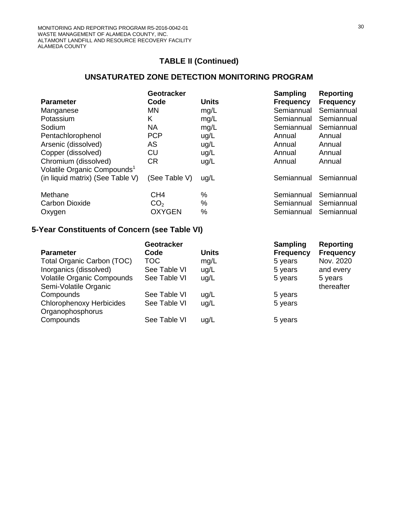# **UNSATURATED ZONE DETECTION MONITORING PROGRAM**

|                                                                 | Geotracker      |              | <b>Sampling</b>  | <b>Reporting</b> |
|-----------------------------------------------------------------|-----------------|--------------|------------------|------------------|
| <b>Parameter</b>                                                | Code            | <b>Units</b> | <b>Frequency</b> | <b>Frequency</b> |
| Manganese                                                       | <b>MN</b>       | mg/L         | Semiannual       | Semiannual       |
| Potassium                                                       | K               | mg/L         | Semiannual       | Semiannual       |
| Sodium                                                          | <b>NA</b>       | mg/L         | Semiannual       | Semiannual       |
| Pentachlorophenol                                               | <b>PCP</b>      | ug/L         | Annual           | Annual           |
| Arsenic (dissolved)                                             | AS              | ug/L         | Annual           | Annual           |
| Copper (dissolved)                                              | CU              | ug/L         | Annual           | Annual           |
| Chromium (dissolved)<br>Volatile Organic Compounds <sup>1</sup> | <b>CR</b>       | ug/L         | Annual           | Annual           |
| (in liquid matrix) (See Table V)                                | (See Table V)   | ug/L         | Semiannual       | Semiannual       |
| Methane                                                         | CH <sub>4</sub> | %            | Semiannual       | Semiannual       |
| <b>Carbon Dioxide</b>                                           | CO <sub>2</sub> | $\%$         | Semiannual       | Semiannual       |
| Oxygen                                                          | <b>OXYGEN</b>   | %            | Semiannual       | Semiannual       |
|                                                                 |                 |              |                  |                  |

# **5-Year Constituents of Concern (see Table VI)**

|                                   | Geotracker   |              | <b>Sampling</b>  | Reporting        |
|-----------------------------------|--------------|--------------|------------------|------------------|
| <b>Parameter</b>                  | Code         | <b>Units</b> | <b>Frequency</b> | <b>Frequency</b> |
| <b>Total Organic Carbon (TOC)</b> | TOC          | mg/L         | 5 years          | Nov. 2020        |
| Inorganics (dissolved)            | See Table VI | ug/L         | 5 years          | and every        |
| <b>Volatile Organic Compounds</b> | See Table VI | ug/L         | 5 years          | 5 years          |
| Semi-Volatile Organic             |              |              |                  | thereafter       |
| Compounds                         | See Table VI | ug/L         | 5 years          |                  |
| <b>Chlorophenoxy Herbicides</b>   | See Table VI | ug/L         | 5 years          |                  |
| Organophosphorus                  |              |              |                  |                  |
| Compounds                         | See Table VI | ug/L         | 5 years          |                  |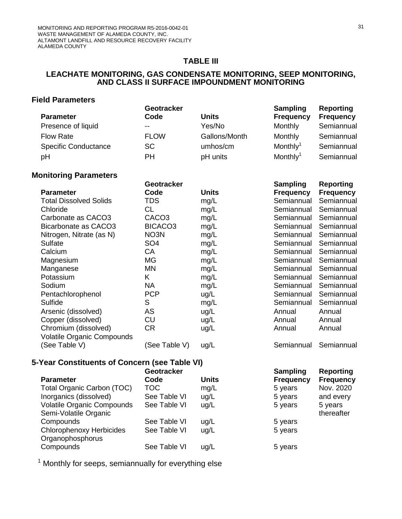### **TABLE III**

### **LEACHATE MONITORING, GAS CONDENSATE MONITORING, SEEP MONITORING, AND CLASS II SURFACE IMPOUNDMENT MONITORING**

## **Field Parameters**

|                             | Geotracker  |               | Sampling             | Reporting        |
|-----------------------------|-------------|---------------|----------------------|------------------|
| <b>Parameter</b>            | Code        | <b>Units</b>  | <b>Frequency</b>     | <b>Frequency</b> |
| Presence of liquid          | $- -$       | Yes/No        | <b>Monthly</b>       | Semiannual       |
| <b>Flow Rate</b>            | <b>FLOW</b> | Gallons/Month | Monthly              | Semiannual       |
| <b>Specific Conductance</b> | <b>SC</b>   | umhos/cm      | Monthly <sup>1</sup> | Semiannual       |
| pH                          | PН          | pH units      | Monthly <sup>1</sup> | Semiannual       |

## **Monitoring Parameters**

|                                   | Geotracker          |              | <b>Sampling</b>  | <b>Reporting</b> |
|-----------------------------------|---------------------|--------------|------------------|------------------|
| <b>Parameter</b>                  | Code                | <b>Units</b> | <b>Frequency</b> | <b>Frequency</b> |
| <b>Total Dissolved Solids</b>     | TDS                 | mg/L         | Semiannual       | Semiannual       |
| Chloride                          | <b>CL</b>           | mg/L         | Semiannual       | Semiannual       |
| Carbonate as CACO3                | CACO <sub>3</sub>   | mg/L         | Semiannual       | Semiannual       |
| Bicarbonate as CACO3              | BICACO <sub>3</sub> | mg/L         | Semiannual       | Semiannual       |
| Nitrogen, Nitrate (as N)          | NO3N                | mg/L         | Semiannual       | Semiannual       |
| Sulfate                           | SO <sub>4</sub>     | mg/L         | Semiannual       | Semiannual       |
| Calcium                           | CA                  | mg/L         | Semiannual       | Semiannual       |
| Magnesium                         | <b>MG</b>           | mg/L         | Semiannual       | Semiannual       |
| Manganese                         | <b>MN</b>           | mg/L         | Semiannual       | Semiannual       |
| Potassium                         | K                   | mg/L         | Semiannual       | Semiannual       |
| Sodium                            | <b>NA</b>           | mg/L         | Semiannual       | Semiannual       |
| Pentachlorophenol                 | <b>PCP</b>          | ug/L         | Semiannual       | Semiannual       |
| Sulfide                           | S                   | mg/L         | Semiannual       | Semiannual       |
| Arsenic (dissolved)               | AS                  | ug/L         | Annual           | Annual           |
| Copper (dissolved)                | <b>CU</b>           | ug/L         | Annual           | Annual           |
| Chromium (dissolved)              | <b>CR</b>           | ug/L         | Annual           | Annual           |
| <b>Volatile Organic Compounds</b> |                     |              |                  |                  |
| (See Table V)                     | (See Table V)       | ug/L         | Semiannual       | Semiannual       |

# **5-Year Constituents of Concern (see Table VI)**

|                                   | <b>Geotracker</b> |              | <b>Sampling</b>  | Reporting        |
|-----------------------------------|-------------------|--------------|------------------|------------------|
| <b>Parameter</b>                  | Code              | <b>Units</b> | <b>Frequency</b> | <b>Frequency</b> |
| Total Organic Carbon (TOC)        | TOC               | mg/L         | 5 years          | Nov. 2020        |
| Inorganics (dissolved)            | See Table VI      | ug/L         | 5 years          | and every        |
| <b>Volatile Organic Compounds</b> | See Table VI      | ug/L         | 5 years          | 5 years          |
| Semi-Volatile Organic             |                   |              |                  | thereafter       |
| Compounds                         | See Table VI      | ug/L         | 5 years          |                  |
| <b>Chlorophenoxy Herbicides</b>   | See Table VI      | ug/L         | 5 years          |                  |
| Organophosphorus                  |                   |              |                  |                  |
| Compounds                         | See Table VI      | ug/L         | 5 years          |                  |

<sup>1</sup> Monthly for seeps, semiannually for everything else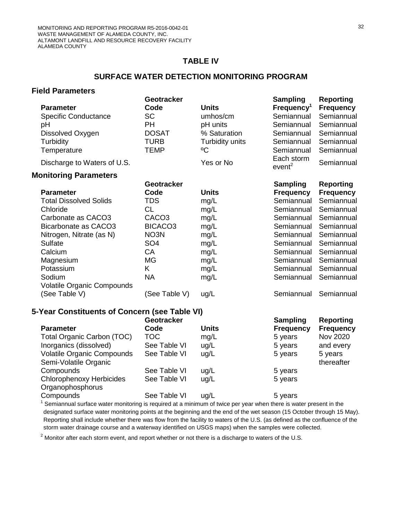#### **TABLE IV**

## **SURFACE WATER DETECTION MONITORING PROGRAM**

## **Field Parameters**

|                                               | <b>Geotracker</b>   |                 | Sampling                         | <b>Reporting</b> |
|-----------------------------------------------|---------------------|-----------------|----------------------------------|------------------|
| <b>Parameter</b>                              | Code                | <b>Units</b>    | Frequency <sup>1</sup>           | <b>Frequency</b> |
| <b>Specific Conductance</b>                   | SC                  | umhos/cm        | Semiannual                       | Semiannual       |
| рH                                            | <b>PH</b>           | pH units        | Semiannual                       | Semiannual       |
| Dissolved Oxygen                              | <b>DOSAT</b>        | % Saturation    | Semiannual                       | Semiannual       |
| Turbidity                                     | <b>TURB</b>         | Turbidity units | Semiannual                       | Semiannual       |
| Temperature                                   | <b>TEMP</b>         | $^{\circ}$ C    | Semiannual                       | Semiannual       |
| Discharge to Waters of U.S.                   |                     | Yes or No       | Each storm<br>event <sup>2</sup> | Semiannual       |
| <b>Monitoring Parameters</b>                  |                     |                 |                                  |                  |
|                                               | <b>Geotracker</b>   |                 | <b>Sampling</b>                  | <b>Reporting</b> |
| <b>Parameter</b>                              | Code                | <b>Units</b>    | <b>Frequency</b>                 | <b>Frequency</b> |
| <b>Total Dissolved Solids</b>                 | <b>TDS</b>          | mg/L            | Semiannual                       | Semiannual       |
| Chloride                                      | CL                  | mg/L            | Semiannual                       | Semiannual       |
| Carbonate as CACO3                            | CACO <sub>3</sub>   | mg/L            | Semiannual                       | Semiannual       |
| Bicarbonate as CACO3                          | BICACO <sub>3</sub> | mg/L            | Semiannual                       | Semiannual       |
| Nitrogen, Nitrate (as N)                      | NO3N                | mg/L            | Semiannual                       | Semiannual       |
| <b>Sulfate</b>                                | SO <sub>4</sub>     | mg/L            | Semiannual                       | Semiannual       |
| Calcium                                       | CA                  | mg/L            | Semiannual                       | Semiannual       |
| Magnesium                                     | MG                  | mg/L            | Semiannual                       | Semiannual       |
| Potassium                                     | K.                  | mg/L            | Semiannual                       | Semiannual       |
| Sodium                                        | <b>NA</b>           | mg/L            | Semiannual                       | Semiannual       |
| <b>Volatile Organic Compounds</b>             |                     |                 |                                  |                  |
| (See Table V)                                 | (See Table V)       | ug/L            | Semiannual                       | Semiannual       |
| 5-Year Constituents of Concern (see Table VI) |                     |                 |                                  |                  |
|                                               | <b>Geotracker</b>   |                 | <b>Sampling</b>                  | <b>Reporting</b> |
| <b>Parameter</b>                              | Code                | <b>Units</b>    | <b>Frequency</b>                 | <b>Frequency</b> |

| <b>Parameter</b>                  | Code         | <b>Units</b> | <b>Frequency</b> | <b>Frequency</b> |
|-----------------------------------|--------------|--------------|------------------|------------------|
| Total Organic Carbon (TOC)        | <b>TOC</b>   | mg/L         | 5 years          | Nov 2020         |
| Inorganics (dissolved)            | See Table VI | ug/L         | 5 years          | and every        |
| <b>Volatile Organic Compounds</b> | See Table VI | ug/L         | 5 years          | 5 years          |
| Semi-Volatile Organic             |              |              |                  | thereafter       |
| Compounds                         | See Table VI | ug/L         | 5 years          |                  |
| <b>Chlorophenoxy Herbicides</b>   | See Table VI | ug/L         | 5 years          |                  |
| Organophosphorus                  |              |              |                  |                  |
| Compounds                         | See Table VI | ug/L         | 5 years          |                  |

 $1$  Semiannual surface water monitoring is required at a minimum of twice per year when there is water present in the designated surface water monitoring points at the beginning and the end of the wet season (15 October through 15 May). Reporting shall include whether there was flow from the facility to waters of the U.S. (as defined as the confluence of the storm water drainage course and a waterway identified on USGS maps) when the samples were collected.

 $2$  Monitor after each storm event, and report whether or not there is a discharge to waters of the U.S.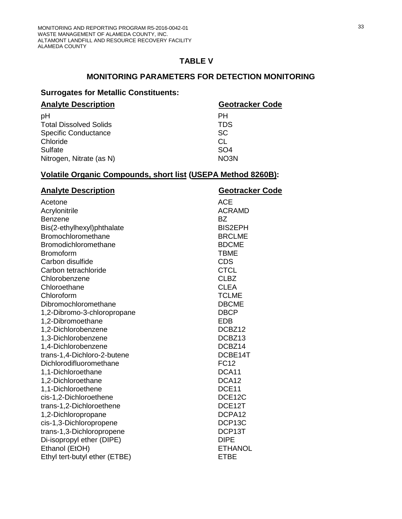### **TABLE V**

## **MONITORING PARAMETERS FOR DETECTION MONITORING**

## **Surrogates for Metallic Constituents:**

| <b>Geotracker Code</b> |
|------------------------|
| PН                     |
| <b>TDS</b>             |
| <b>SC</b>              |
| CL                     |
| SO <sub>4</sub>        |
| NO3N                   |
|                        |

# **Volatile Organic Compounds, short list (USEPA Method 8260B):**

| <b>Analyte Description</b>    | <b>Geotracker Code</b> |
|-------------------------------|------------------------|
| Acetone                       | <b>ACE</b>             |
| Acrylonitrile                 | <b>ACRAMD</b>          |
| <b>Benzene</b>                | <b>BZ</b>              |
| Bis(2-ethylhexyl)phthalate    | <b>BIS2EPH</b>         |
| Bromochloromethane            | <b>BRCLME</b>          |
| Bromodichloromethane          | <b>BDCME</b>           |
| <b>Bromoform</b>              | <b>TBME</b>            |
| Carbon disulfide              | <b>CDS</b>             |
| Carbon tetrachloride          | <b>CTCL</b>            |
| Chlorobenzene                 | <b>CLBZ</b>            |
| Chloroethane                  | <b>CLEA</b>            |
| Chloroform                    | <b>TCLME</b>           |
| Dibromochloromethane          | <b>DBCME</b>           |
| 1,2-Dibromo-3-chloropropane   | <b>DBCP</b>            |
| 1,2-Dibromoethane             | <b>EDB</b>             |
| 1,2-Dichlorobenzene           | DCBZ12                 |
| 1,3-Dichlorobenzene           | DCBZ <sub>13</sub>     |
| 1,4-Dichlorobenzene           | DCBZ14                 |
| trans-1,4-Dichloro-2-butene   | DCBE14T                |
| Dichlorodifluoromethane       | <b>FC12</b>            |
| 1,1-Dichloroethane            | DCA11                  |
| 1,2-Dichloroethane            | DCA <sub>12</sub>      |
| 1,1-Dichloroethene            | DCE11                  |
| cis-1,2-Dichloroethene        | DCE12C                 |
| trans-1,2-Dichloroethene      | DCE12T                 |
| 1,2-Dichloropropane           | DCPA12                 |
| cis-1,3-Dichloropropene       | DCP13C                 |
| trans-1,3-Dichloropropene     | DCP13T                 |
| Di-isopropyl ether (DIPE)     | <b>DIPE</b>            |
| Ethanol (EtOH)                | <b>ETHANOL</b>         |
| Ethyl tert-butyl ether (ETBE) | <b>ETBE</b>            |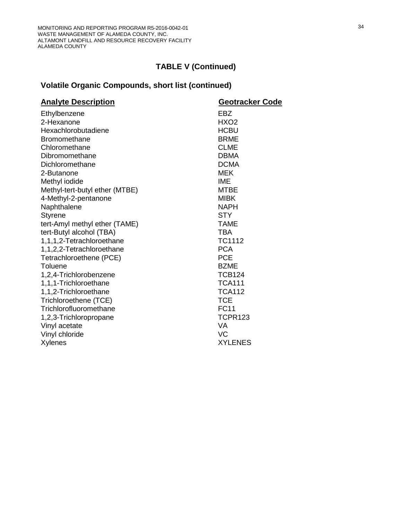# **Volatile Organic Compounds, short list (continued)**

| <b>Analyte Description</b>     | Geotracker Code  |
|--------------------------------|------------------|
| Ethylbenzene                   | EBZ              |
| 2-Hexanone                     | HXO <sub>2</sub> |
| Hexachlorobutadiene            | <b>HCBU</b>      |
| <b>Bromomethane</b>            | <b>BRME</b>      |
| Chloromethane                  | <b>CLME</b>      |
| Dibromomethane                 | <b>DBMA</b>      |
| Dichloromethane                | <b>DCMA</b>      |
| 2-Butanone                     | <b>MEK</b>       |
| Methyl iodide                  | <b>IME</b>       |
| Methyl-tert-butyl ether (MTBE) | <b>MTBE</b>      |
| 4-Methyl-2-pentanone           | <b>MIBK</b>      |
| Naphthalene                    | <b>NAPH</b>      |
| <b>Styrene</b>                 | <b>STY</b>       |
| tert-Amyl methyl ether (TAME)  | <b>TAME</b>      |
| tert-Butyl alcohol (TBA)       | <b>TBA</b>       |
| 1,1,1,2-Tetrachloroethane      | TC1112           |
| 1,1,2,2-Tetrachloroethane      | <b>PCA</b>       |
| Tetrachloroethene (PCE)        | <b>PCE</b>       |
| Toluene                        | <b>BZME</b>      |
| 1,2,4-Trichlorobenzene         | <b>TCB124</b>    |
| 1,1,1-Trichloroethane          | <b>TCA111</b>    |
| 1,1,2-Trichloroethane          | <b>TCA112</b>    |
| Trichloroethene (TCE)          | <b>TCE</b>       |
| Trichlorofluoromethane         | <b>FC11</b>      |
| 1,2,3-Trichloropropane         | <b>TCPR123</b>   |
| Vinyl acetate                  | <b>VA</b>        |
| Vinyl chloride                 | <b>VC</b>        |
| Xylenes                        | <b>XYLENES</b>   |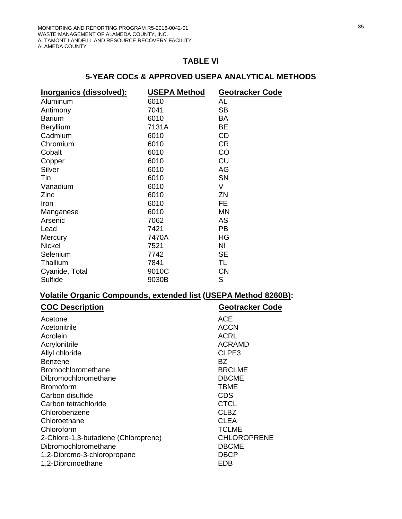#### **TABLE VI**

# **5-YEAR COCs & APPROVED USEPA ANALYTICAL METHODS**

| <u>Inorganics (dissolved):</u> | <b>USEPA Method</b> | <b>Geotracker Code</b> |
|--------------------------------|---------------------|------------------------|
| Aluminum                       | 6010                | AL                     |
| Antimony                       | 7041                | <b>SB</b>              |
| <b>Barium</b>                  | 6010                | BA                     |
| Beryllium                      | 7131A               | BE                     |
| Cadmium                        | 6010                | CD                     |
| Chromium                       | 6010                | CR.                    |
| Cobalt                         | 6010                | CO                     |
| Copper                         | 6010                | CU                     |
| Silver                         | 6010                | AG                     |
| Tin                            | 6010                | <b>SN</b>              |
| Vanadium                       | 6010                | V                      |
| Zinc                           | 6010                | ΖN                     |
| Iron                           | 6010                | <b>FE</b>              |
| Manganese                      | 6010                | <b>MN</b>              |
| Arsenic                        | 7062                | AS                     |
| Lead                           | 7421                | <b>PB</b>              |
| Mercury                        | 7470A               | HG                     |
| <b>Nickel</b>                  | 7521                | ΝI                     |
| Selenium                       | 7742                | SE                     |
| Thallium                       | 7841                | TL                     |
| Cyanide, Total                 | 9010C               | <b>CN</b>              |
| Sulfide                        | 9030B               | S                      |

# **Volatile Organic Compounds, extended list (USEPA Method 8260B):**

| <b>COC Description</b>               | <b>Geotracker Code</b> |
|--------------------------------------|------------------------|
| Acetone                              | ACE                    |
| Acetonitrile                         | <b>ACCN</b>            |
| Acrolein                             | <b>ACRL</b>            |
| Acrylonitrile                        | <b>ACRAMD</b>          |
| Allyl chloride                       | CLPE3                  |
| Benzene                              | BZ.                    |
| <b>Bromochloromethane</b>            | <b>BRCLME</b>          |
| Dibromochloromethane                 | <b>DBCME</b>           |
| <b>Bromoform</b>                     | <b>TBME</b>            |
| Carbon disulfide                     | <b>CDS</b>             |
| Carbon tetrachloride                 | <b>CTCL</b>            |
| Chlorobenzene                        | <b>CLBZ</b>            |
| Chloroethane                         | <b>CLEA</b>            |
| Chloroform                           | <b>TCLME</b>           |
| 2-Chloro-1,3-butadiene (Chloroprene) | <b>CHLOROPRENE</b>     |
| Dibromochloromethane                 | <b>DBCME</b>           |
| 1,2-Dibromo-3-chloropropane          | <b>DBCP</b>            |
| 1,2-Dibromoethane                    | EDB                    |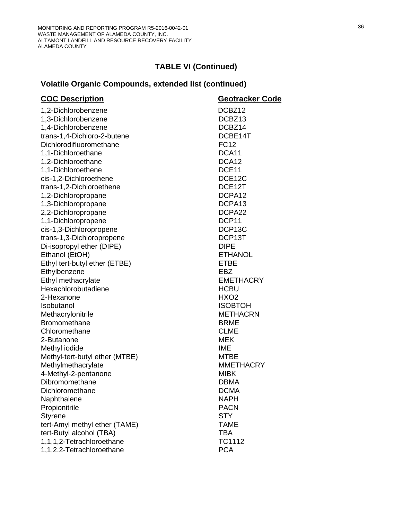# **Volatile Organic Compounds, extended list (continued)**

| <b>COC Description</b>         | Geotracker Code    |
|--------------------------------|--------------------|
| 1,2-Dichlorobenzene            | DCBZ12             |
| 1,3-Dichlorobenzene            | DCBZ <sub>13</sub> |
| 1,4-Dichlorobenzene            | DCBZ14             |
| trans-1,4-Dichloro-2-butene    | DCBE14T            |
| Dichlorodifluoromethane        | <b>FC12</b>        |
| 1,1-Dichloroethane             | DCA11              |
| 1,2-Dichloroethane             | DCA <sub>12</sub>  |
| 1,1-Dichloroethene             | DCE11              |
| cis-1,2-Dichloroethene         | DCE12C             |
| trans-1,2-Dichloroethene       | DCE12T             |
| 1,2-Dichloropropane            | DCPA12             |
| 1,3-Dichloropropane            | DCPA13             |
| 2,2-Dichloropropane            | DCPA22             |
| 1,1-Dichloropropene            | DCP11              |
| cis-1,3-Dichloropropene        | DCP13C             |
| trans-1,3-Dichloropropene      | DCP13T             |
| Di-isopropyl ether (DIPE)      | <b>DIPE</b>        |
| Ethanol (EtOH)                 | <b>ETHANOL</b>     |
| Ethyl tert-butyl ether (ETBE)  | <b>ETBE</b>        |
| Ethylbenzene                   | EBZ                |
| Ethyl methacrylate             | <b>EMETHACRY</b>   |
| Hexachlorobutadiene            | <b>HCBU</b>        |
| 2-Hexanone                     | HXO <sub>2</sub>   |
| <b>Isobutanol</b>              | <b>ISOBTOH</b>     |
| Methacrylonitrile              | <b>METHACRN</b>    |
| <b>Bromomethane</b>            | <b>BRME</b>        |
| Chloromethane                  | <b>CLME</b>        |
| 2-Butanone                     | <b>MEK</b>         |
| Methyl iodide                  | <b>IME</b>         |
| Methyl-tert-butyl ether (MTBE) | <b>MTBE</b>        |
| Methylmethacrylate             | <b>MMETHACRY</b>   |
| 4-Methyl-2-pentanone           | <b>MIBK</b>        |
| Dibromomethane                 | <b>DBMA</b>        |
| Dichloromethane                | <b>DCMA</b>        |
| Naphthalene                    | <b>NAPH</b>        |
| Propionitrile                  | <b>PACN</b>        |
| <b>Styrene</b>                 | <b>STY</b>         |
| tert-Amyl methyl ether (TAME)  | <b>TAME</b>        |
| tert-Butyl alcohol (TBA)       | <b>TBA</b>         |
| 1,1,1,2-Tetrachloroethane      | <b>TC1112</b>      |
| 1,1,2,2-Tetrachloroethane      | <b>PCA</b>         |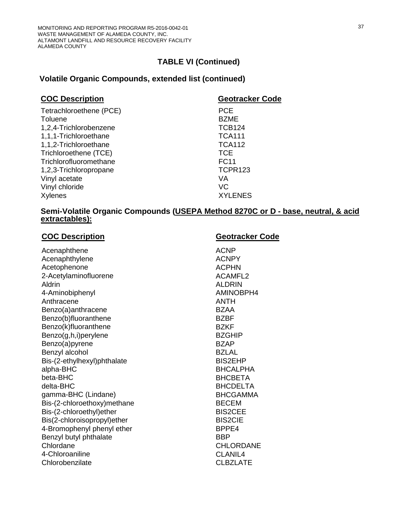# **Volatile Organic Compounds, extended list (continued)**

| <b>Geotracker Code</b> |
|------------------------|
| <b>PCE</b>             |
| <b>BZME</b>            |
| <b>TCB124</b>          |
| <b>TCA111</b>          |
| <b>TCA112</b>          |
| TCE                    |
| <b>FC11</b>            |
| TCPR123                |
| VA                     |
| <b>VC</b>              |
| <b>XYLENES</b>         |
|                        |

## **Semi-Volatile Organic Compounds (USEPA Method 8270C or D - base, neutral, & acid extractables):**

| <b>COC Description</b>      | Geotracker Code  |
|-----------------------------|------------------|
| Acenaphthene                | <b>ACNP</b>      |
| Acenaphthylene              | <b>ACNPY</b>     |
| Acetophenone                | <b>ACPHN</b>     |
| 2-Acetylaminofluorene       | <b>ACAMFL2</b>   |
| Aldrin                      | <b>ALDRIN</b>    |
| 4-Aminobiphenyl             | AMINOBPH4        |
| Anthracene                  | <b>ANTH</b>      |
| Benzo(a)anthracene          | <b>BZAA</b>      |
| Benzo(b)fluoranthene        | <b>BZBF</b>      |
| Benzo(k)fluoranthene        | <b>BZKF</b>      |
| Benzo(g,h,i)perylene        | <b>BZGHIP</b>    |
| Benzo(a)pyrene              | <b>BZAP</b>      |
| Benzyl alcohol              | <b>BZLAL</b>     |
| Bis-(2-ethylhexyl)phthalate | <b>BIS2EHP</b>   |
| alpha-BHC                   | <b>BHCALPHA</b>  |
| beta-BHC                    | <b>BHCBETA</b>   |
| delta-BHC                   | <b>BHCDELTA</b>  |
| gamma-BHC (Lindane)         | <b>BHCGAMMA</b>  |
| Bis-(2-chloroethoxy)methane | <b>BECEM</b>     |
| Bis-(2-chloroethyl)ether    | <b>BIS2CEE</b>   |
| Bis(2-chloroisopropyl)ether | <b>BIS2CIE</b>   |
| 4-Bromophenyl phenyl ether  | BPPE4            |
| Benzyl butyl phthalate      | <b>BBP</b>       |
| Chlordane                   | <b>CHLORDANE</b> |
| 4-Chloroaniline             | CLANIL4          |
| Chlorobenzilate             | <b>CLBZLATE</b>  |
|                             |                  |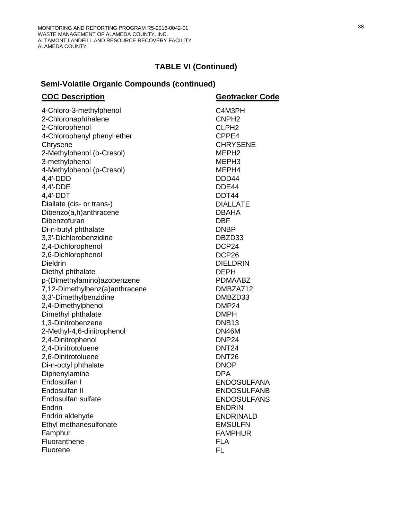# **Semi-Volatile Organic Compounds (continued)**

| <b>COC Description</b>                | Geotracker Code             |
|---------------------------------------|-----------------------------|
| 4-Chloro-3-methylphenol               | C4M3PH                      |
| 2-Chloronaphthalene                   | CNPH <sub>2</sub>           |
| 2-Chlorophenol                        | CLPH <sub>2</sub>           |
| 4-Chlorophenyl phenyl ether           | CPPE4                       |
| Chrysene                              | <b>CHRYSENE</b>             |
| 2-Methylphenol (o-Cresol)             | MEPH <sub>2</sub>           |
| 3-methylphenol                        | MEPH <sub>3</sub>           |
| 4-Methylphenol (p-Cresol)             | MEPH4                       |
| 4,4'-DDD                              | DDD44                       |
| 4,4'-DDE                              | DDE44                       |
| 4,4'-DDT                              | DDT44                       |
| Diallate (cis- or trans-)             | <b>DIALLATE</b>             |
| Dibenzo(a,h)anthracene                | <b>DBAHA</b>                |
| Dibenzofuran                          | <b>DBF</b>                  |
| Di-n-butyl phthalate                  | <b>DNBP</b>                 |
| 3,3'-Dichlorobenzidine                | DBZD33                      |
| 2,4-Dichlorophenol                    | DCP24                       |
| 2,6-Dichlorophenol                    | DCP <sub>26</sub>           |
| <b>Dieldrin</b>                       | <b>DIELDRIN</b>             |
| Diethyl phthalate                     | <b>DEPH</b>                 |
| p-(Dimethylamino)azobenzene           | <b>PDMAABZ</b>              |
| 7,12-Dimethylbenz(a)anthracene        | DMBZA712                    |
| 3,3'-Dimethylbenzidine                | DMBZD33                     |
| 2,4-Dimethylphenol                    | DMP <sub>24</sub>           |
| Dimethyl phthalate                    | <b>DMPH</b>                 |
| 1,3-Dinitrobenzene                    | DNB <sub>13</sub>           |
| 2-Methyl-4,6-dinitrophenol            | DN46M                       |
| 2,4-Dinitrophenol                     | DNP <sub>24</sub>           |
| 2,4-Dinitrotoluene                    | <b>DNT24</b>                |
| 2,6-Dinitrotoluene                    | <b>DNT26</b><br><b>DNOP</b> |
| Di-n-octyl phthalate<br>Diphenylamine | <b>DPA</b>                  |
| Endosulfan I                          | <b>ENDOSULFANA</b>          |
| Endosulfan II                         | <b>ENDOSULFANB</b>          |
| Endosulfan sulfate                    | <b>ENDOSULFANS</b>          |
| Endrin                                | <b>ENDRIN</b>               |
| Endrin aldehyde                       | <b>ENDRINALD</b>            |
| Ethyl methanesulfonate                | <b>EMSULFN</b>              |
| Famphur                               | <b>FAMPHUR</b>              |
| Fluoranthene                          | <b>FLA</b>                  |
| Fluorene                              | FL.                         |
|                                       |                             |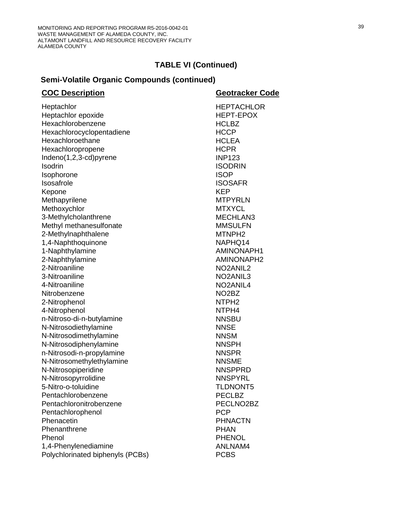# **Semi-Volatile Organic Compounds (continued)**

| <b>HEPTACHLOR</b><br>Heptachlor<br>Heptachlor epoxide<br><b>HEPT-EPOX</b><br>Hexachlorobenzene<br><b>HCLBZ</b><br>Hexachlorocyclopentadiene<br><b>HCCP</b><br>Hexachloroethane<br><b>HCLEA</b><br>Hexachloropropene<br><b>HCPR</b><br>Indeno(1,2,3-cd)pyrene<br><b>INP123</b><br>Isodrin<br><b>ISODRIN</b><br><b>ISOP</b><br>Isophorone<br>Isosafrole<br><b>ISOSAFR</b><br><b>KEP</b><br>Kepone<br>Methapyrilene<br><b>MTPYRLN</b><br>Methoxychlor<br><b>MTXYCL</b><br>3-Methylcholanthrene<br>MECHLAN3<br>Methyl methanesulfonate<br><b>MMSULFN</b><br>2-Methylnaphthalene<br>MTNPH <sub>2</sub><br>1,4-Naphthoquinone<br>NAPHQ14<br>1-Naphthylamine<br>AMINONAPH1<br>2-Naphthylamine<br><b>AMINONAPH2</b><br>2-Nitroaniline<br>NO <sub>2</sub> ANIL <sub>2</sub><br>3-Nitroaniline<br>NO <sub>2</sub> AN <sub>IL3</sub><br>4-Nitroaniline<br>NO <sub>2</sub> ANIL <sub>4</sub><br>Nitrobenzene<br>NO <sub>2</sub> B <sub>Z</sub><br>NTPH <sub>2</sub><br>2-Nitrophenol<br>4-Nitrophenol<br>NTPH4<br>n-Nitroso-di-n-butylamine<br><b>NNSBU</b><br>N-Nitrosodiethylamine<br><b>NNSE</b><br>N-Nitrosodimethylamine<br><b>NNSM</b><br>N-Nitrosodiphenylamine<br><b>NNSPH</b><br>n-Nitrosodi-n-propylamine<br><b>NNSPR</b><br>N-Nitrosomethylethylamine<br><b>NNSME</b><br>N-Nitrosopiperidine<br><b>NNSPPRD</b><br><b>NNSPYRL</b><br>N-Nitrosopyrrolidine<br>5-Nitro-o-toluidine<br><b>TLDNONT5</b><br><b>PECLBZ</b><br>Pentachlorobenzene<br>Pentachloronitrobenzene<br>PECLNO2BZ<br><b>PCP</b><br>Pentachlorophenol<br>Phenacetin<br><b>PHNACTN</b><br>Phenanthrene<br><b>PHAN</b><br>Phenol<br><b>PHENOL</b><br>1,4-Phenylenediamine<br>ANLNAM4 | <b>COC Description</b>           | Geotracker Code |
|--------------------------------------------------------------------------------------------------------------------------------------------------------------------------------------------------------------------------------------------------------------------------------------------------------------------------------------------------------------------------------------------------------------------------------------------------------------------------------------------------------------------------------------------------------------------------------------------------------------------------------------------------------------------------------------------------------------------------------------------------------------------------------------------------------------------------------------------------------------------------------------------------------------------------------------------------------------------------------------------------------------------------------------------------------------------------------------------------------------------------------------------------------------------------------------------------------------------------------------------------------------------------------------------------------------------------------------------------------------------------------------------------------------------------------------------------------------------------------------------------------------------------------------------------------------------------------------------------------------------------------------------------|----------------------------------|-----------------|
|                                                                                                                                                                                                                                                                                                                                                                                                                                                                                                                                                                                                                                                                                                                                                                                                                                                                                                                                                                                                                                                                                                                                                                                                                                                                                                                                                                                                                                                                                                                                                                                                                                                  |                                  |                 |
|                                                                                                                                                                                                                                                                                                                                                                                                                                                                                                                                                                                                                                                                                                                                                                                                                                                                                                                                                                                                                                                                                                                                                                                                                                                                                                                                                                                                                                                                                                                                                                                                                                                  |                                  |                 |
|                                                                                                                                                                                                                                                                                                                                                                                                                                                                                                                                                                                                                                                                                                                                                                                                                                                                                                                                                                                                                                                                                                                                                                                                                                                                                                                                                                                                                                                                                                                                                                                                                                                  |                                  |                 |
|                                                                                                                                                                                                                                                                                                                                                                                                                                                                                                                                                                                                                                                                                                                                                                                                                                                                                                                                                                                                                                                                                                                                                                                                                                                                                                                                                                                                                                                                                                                                                                                                                                                  |                                  |                 |
|                                                                                                                                                                                                                                                                                                                                                                                                                                                                                                                                                                                                                                                                                                                                                                                                                                                                                                                                                                                                                                                                                                                                                                                                                                                                                                                                                                                                                                                                                                                                                                                                                                                  |                                  |                 |
|                                                                                                                                                                                                                                                                                                                                                                                                                                                                                                                                                                                                                                                                                                                                                                                                                                                                                                                                                                                                                                                                                                                                                                                                                                                                                                                                                                                                                                                                                                                                                                                                                                                  |                                  |                 |
|                                                                                                                                                                                                                                                                                                                                                                                                                                                                                                                                                                                                                                                                                                                                                                                                                                                                                                                                                                                                                                                                                                                                                                                                                                                                                                                                                                                                                                                                                                                                                                                                                                                  |                                  |                 |
|                                                                                                                                                                                                                                                                                                                                                                                                                                                                                                                                                                                                                                                                                                                                                                                                                                                                                                                                                                                                                                                                                                                                                                                                                                                                                                                                                                                                                                                                                                                                                                                                                                                  |                                  |                 |
|                                                                                                                                                                                                                                                                                                                                                                                                                                                                                                                                                                                                                                                                                                                                                                                                                                                                                                                                                                                                                                                                                                                                                                                                                                                                                                                                                                                                                                                                                                                                                                                                                                                  |                                  |                 |
|                                                                                                                                                                                                                                                                                                                                                                                                                                                                                                                                                                                                                                                                                                                                                                                                                                                                                                                                                                                                                                                                                                                                                                                                                                                                                                                                                                                                                                                                                                                                                                                                                                                  |                                  |                 |
|                                                                                                                                                                                                                                                                                                                                                                                                                                                                                                                                                                                                                                                                                                                                                                                                                                                                                                                                                                                                                                                                                                                                                                                                                                                                                                                                                                                                                                                                                                                                                                                                                                                  |                                  |                 |
|                                                                                                                                                                                                                                                                                                                                                                                                                                                                                                                                                                                                                                                                                                                                                                                                                                                                                                                                                                                                                                                                                                                                                                                                                                                                                                                                                                                                                                                                                                                                                                                                                                                  |                                  |                 |
|                                                                                                                                                                                                                                                                                                                                                                                                                                                                                                                                                                                                                                                                                                                                                                                                                                                                                                                                                                                                                                                                                                                                                                                                                                                                                                                                                                                                                                                                                                                                                                                                                                                  |                                  |                 |
|                                                                                                                                                                                                                                                                                                                                                                                                                                                                                                                                                                                                                                                                                                                                                                                                                                                                                                                                                                                                                                                                                                                                                                                                                                                                                                                                                                                                                                                                                                                                                                                                                                                  |                                  |                 |
|                                                                                                                                                                                                                                                                                                                                                                                                                                                                                                                                                                                                                                                                                                                                                                                                                                                                                                                                                                                                                                                                                                                                                                                                                                                                                                                                                                                                                                                                                                                                                                                                                                                  |                                  |                 |
|                                                                                                                                                                                                                                                                                                                                                                                                                                                                                                                                                                                                                                                                                                                                                                                                                                                                                                                                                                                                                                                                                                                                                                                                                                                                                                                                                                                                                                                                                                                                                                                                                                                  |                                  |                 |
|                                                                                                                                                                                                                                                                                                                                                                                                                                                                                                                                                                                                                                                                                                                                                                                                                                                                                                                                                                                                                                                                                                                                                                                                                                                                                                                                                                                                                                                                                                                                                                                                                                                  |                                  |                 |
|                                                                                                                                                                                                                                                                                                                                                                                                                                                                                                                                                                                                                                                                                                                                                                                                                                                                                                                                                                                                                                                                                                                                                                                                                                                                                                                                                                                                                                                                                                                                                                                                                                                  |                                  |                 |
|                                                                                                                                                                                                                                                                                                                                                                                                                                                                                                                                                                                                                                                                                                                                                                                                                                                                                                                                                                                                                                                                                                                                                                                                                                                                                                                                                                                                                                                                                                                                                                                                                                                  |                                  |                 |
|                                                                                                                                                                                                                                                                                                                                                                                                                                                                                                                                                                                                                                                                                                                                                                                                                                                                                                                                                                                                                                                                                                                                                                                                                                                                                                                                                                                                                                                                                                                                                                                                                                                  |                                  |                 |
|                                                                                                                                                                                                                                                                                                                                                                                                                                                                                                                                                                                                                                                                                                                                                                                                                                                                                                                                                                                                                                                                                                                                                                                                                                                                                                                                                                                                                                                                                                                                                                                                                                                  |                                  |                 |
|                                                                                                                                                                                                                                                                                                                                                                                                                                                                                                                                                                                                                                                                                                                                                                                                                                                                                                                                                                                                                                                                                                                                                                                                                                                                                                                                                                                                                                                                                                                                                                                                                                                  |                                  |                 |
|                                                                                                                                                                                                                                                                                                                                                                                                                                                                                                                                                                                                                                                                                                                                                                                                                                                                                                                                                                                                                                                                                                                                                                                                                                                                                                                                                                                                                                                                                                                                                                                                                                                  |                                  |                 |
|                                                                                                                                                                                                                                                                                                                                                                                                                                                                                                                                                                                                                                                                                                                                                                                                                                                                                                                                                                                                                                                                                                                                                                                                                                                                                                                                                                                                                                                                                                                                                                                                                                                  |                                  |                 |
|                                                                                                                                                                                                                                                                                                                                                                                                                                                                                                                                                                                                                                                                                                                                                                                                                                                                                                                                                                                                                                                                                                                                                                                                                                                                                                                                                                                                                                                                                                                                                                                                                                                  |                                  |                 |
|                                                                                                                                                                                                                                                                                                                                                                                                                                                                                                                                                                                                                                                                                                                                                                                                                                                                                                                                                                                                                                                                                                                                                                                                                                                                                                                                                                                                                                                                                                                                                                                                                                                  |                                  |                 |
|                                                                                                                                                                                                                                                                                                                                                                                                                                                                                                                                                                                                                                                                                                                                                                                                                                                                                                                                                                                                                                                                                                                                                                                                                                                                                                                                                                                                                                                                                                                                                                                                                                                  |                                  |                 |
|                                                                                                                                                                                                                                                                                                                                                                                                                                                                                                                                                                                                                                                                                                                                                                                                                                                                                                                                                                                                                                                                                                                                                                                                                                                                                                                                                                                                                                                                                                                                                                                                                                                  |                                  |                 |
|                                                                                                                                                                                                                                                                                                                                                                                                                                                                                                                                                                                                                                                                                                                                                                                                                                                                                                                                                                                                                                                                                                                                                                                                                                                                                                                                                                                                                                                                                                                                                                                                                                                  |                                  |                 |
|                                                                                                                                                                                                                                                                                                                                                                                                                                                                                                                                                                                                                                                                                                                                                                                                                                                                                                                                                                                                                                                                                                                                                                                                                                                                                                                                                                                                                                                                                                                                                                                                                                                  |                                  |                 |
|                                                                                                                                                                                                                                                                                                                                                                                                                                                                                                                                                                                                                                                                                                                                                                                                                                                                                                                                                                                                                                                                                                                                                                                                                                                                                                                                                                                                                                                                                                                                                                                                                                                  |                                  |                 |
|                                                                                                                                                                                                                                                                                                                                                                                                                                                                                                                                                                                                                                                                                                                                                                                                                                                                                                                                                                                                                                                                                                                                                                                                                                                                                                                                                                                                                                                                                                                                                                                                                                                  |                                  |                 |
|                                                                                                                                                                                                                                                                                                                                                                                                                                                                                                                                                                                                                                                                                                                                                                                                                                                                                                                                                                                                                                                                                                                                                                                                                                                                                                                                                                                                                                                                                                                                                                                                                                                  |                                  |                 |
|                                                                                                                                                                                                                                                                                                                                                                                                                                                                                                                                                                                                                                                                                                                                                                                                                                                                                                                                                                                                                                                                                                                                                                                                                                                                                                                                                                                                                                                                                                                                                                                                                                                  |                                  |                 |
|                                                                                                                                                                                                                                                                                                                                                                                                                                                                                                                                                                                                                                                                                                                                                                                                                                                                                                                                                                                                                                                                                                                                                                                                                                                                                                                                                                                                                                                                                                                                                                                                                                                  |                                  |                 |
|                                                                                                                                                                                                                                                                                                                                                                                                                                                                                                                                                                                                                                                                                                                                                                                                                                                                                                                                                                                                                                                                                                                                                                                                                                                                                                                                                                                                                                                                                                                                                                                                                                                  |                                  |                 |
|                                                                                                                                                                                                                                                                                                                                                                                                                                                                                                                                                                                                                                                                                                                                                                                                                                                                                                                                                                                                                                                                                                                                                                                                                                                                                                                                                                                                                                                                                                                                                                                                                                                  |                                  |                 |
|                                                                                                                                                                                                                                                                                                                                                                                                                                                                                                                                                                                                                                                                                                                                                                                                                                                                                                                                                                                                                                                                                                                                                                                                                                                                                                                                                                                                                                                                                                                                                                                                                                                  |                                  |                 |
|                                                                                                                                                                                                                                                                                                                                                                                                                                                                                                                                                                                                                                                                                                                                                                                                                                                                                                                                                                                                                                                                                                                                                                                                                                                                                                                                                                                                                                                                                                                                                                                                                                                  |                                  |                 |
|                                                                                                                                                                                                                                                                                                                                                                                                                                                                                                                                                                                                                                                                                                                                                                                                                                                                                                                                                                                                                                                                                                                                                                                                                                                                                                                                                                                                                                                                                                                                                                                                                                                  |                                  |                 |
|                                                                                                                                                                                                                                                                                                                                                                                                                                                                                                                                                                                                                                                                                                                                                                                                                                                                                                                                                                                                                                                                                                                                                                                                                                                                                                                                                                                                                                                                                                                                                                                                                                                  | Polychlorinated biphenyls (PCBs) | <b>PCBS</b>     |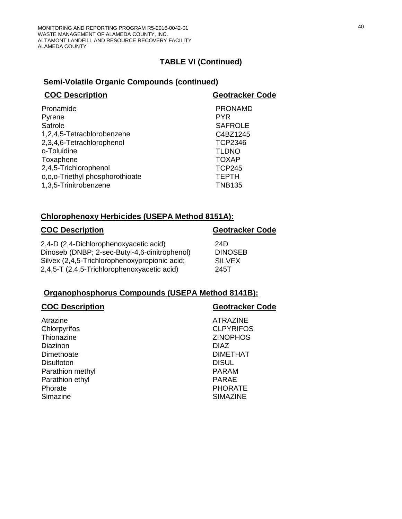## **Semi-Volatile Organic Compounds (continued)**

| <b>COC Description</b>          | <b>Geotracker Code</b> |
|---------------------------------|------------------------|
| Pronamide                       | <b>PRONAMD</b>         |
| Pyrene                          | <b>PYR</b>             |
| Safrole                         | <b>SAFROLE</b>         |
| 1,2,4,5-Tetrachlorobenzene      | C4BZ1245               |
| 2,3,4,6-Tetrachlorophenol       | <b>TCP2346</b>         |
| o-Toluidine                     | <b>TLDNO</b>           |
| Toxaphene                       | <b>TOXAP</b>           |
| 2,4,5-Trichlorophenol           | <b>TCP245</b>          |
| o,o,o-Triethyl phosphorothioate | <b>TEPTH</b>           |
| 1,3,5-Trinitrobenzene           | <b>TNB135</b>          |
|                                 |                        |

## **Chlorophenoxy Herbicides (USEPA Method 8151A):**

# **COC Description Geotracker Code** 2,4-D (2,4-Dichlorophenoxyacetic acid) 24D Dinoseb (DNBP; 2-sec-Butyl-4,6-dinitrophenol) DINOSEB Silvex (2,4,5-Trichlorophenoxypropionic acid; SILVEX 2,4,5-T (2,4,5-Trichlorophenoxyacetic acid) 245T

## **Organophosphorus Compounds (USEPA Method 8141B):**

| <b>Geotracker Code</b> |
|------------------------|
| <b>ATRAZINE</b>        |
| <b>CLPYRIFOS</b>       |
| <b>ZINOPHOS</b>        |
| <b>DIAZ</b>            |
| <b>DIMETHAT</b>        |
| <b>DISUL</b>           |
| <b>PARAM</b>           |
| <b>PARAE</b>           |
| <b>PHORATE</b>         |
| <b>SIMAZINE</b>        |
|                        |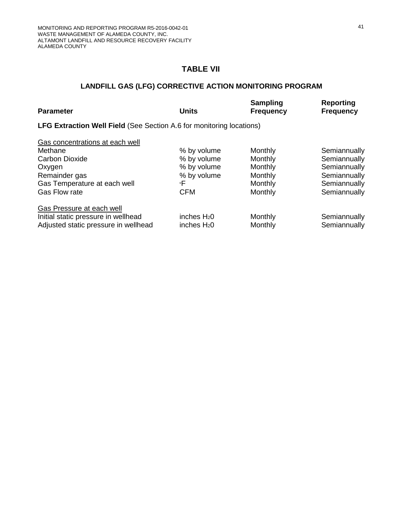# **TABLE VII**

# **LANDFILL GAS (LFG) CORRECTIVE ACTION MONITORING PROGRAM**

| <b>Parameter</b>                                                            | <b>Units</b>            | <b>Sampling</b><br><b>Frequency</b> | <b>Reporting</b><br><b>Frequency</b> |  |  |  |  |  |  |  |  |
|-----------------------------------------------------------------------------|-------------------------|-------------------------------------|--------------------------------------|--|--|--|--|--|--|--|--|
| <b>LFG Extraction Well Field (See Section A.6 for monitoring locations)</b> |                         |                                     |                                      |  |  |  |  |  |  |  |  |
| Gas concentrations at each well                                             |                         |                                     |                                      |  |  |  |  |  |  |  |  |
| Methane                                                                     | % by volume             | Monthly                             | Semiannually                         |  |  |  |  |  |  |  |  |
| <b>Carbon Dioxide</b>                                                       | % by volume             | Monthly                             | Semiannually                         |  |  |  |  |  |  |  |  |
| Oxygen                                                                      | % by volume             | Monthly                             | Semiannually                         |  |  |  |  |  |  |  |  |
| Remainder gas                                                               | % by volume             | Monthly                             | Semiannually                         |  |  |  |  |  |  |  |  |
| Gas Temperature at each well                                                | ∘F                      | Monthly                             | Semiannually                         |  |  |  |  |  |  |  |  |
| Gas Flow rate                                                               | <b>CFM</b>              | Monthly                             | Semiannually                         |  |  |  |  |  |  |  |  |
| Gas Pressure at each well                                                   |                         |                                     |                                      |  |  |  |  |  |  |  |  |
| Initial static pressure in wellhead                                         | inches $H20$            | Monthly                             | Semiannually                         |  |  |  |  |  |  |  |  |
| Adjusted static pressure in wellhead                                        | inches H <sub>2</sub> 0 | Monthly                             | Semiannually                         |  |  |  |  |  |  |  |  |